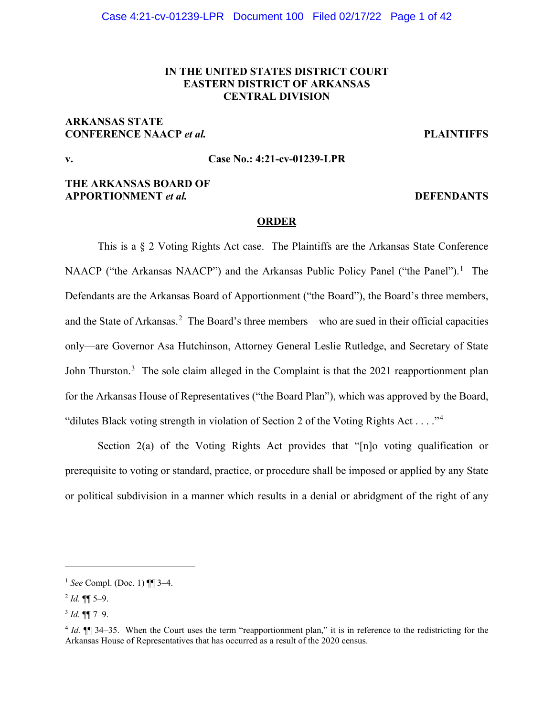# **IN THE UNITED STATES DISTRICT COURT EASTERN DISTRICT OF ARKANSAS CENTRAL DIVISION**

# **ARKANSAS STATE CONFERENCE NAACP** *et al.* **PLAINTIFFS**

# **v. Case No.: 4:21-cv-01239-LPR**

# **THE ARKANSAS BOARD OF APPORTIONMENT** *et al.* **DEFENDANTS**

## **ORDER**

This is a § 2 Voting Rights Act case. The Plaintiffs are the Arkansas State Conference NAACP ("the Arkansas NAACP") and the Arkansas Public Policy Panel ("the Panel").<sup>[1](#page-0-0)</sup> The Defendants are the Arkansas Board of Apportionment ("the Board"), the Board's three members, and the State of Arkansas.<sup>[2](#page-0-1)</sup> The Board's three members—who are sued in their official capacities only—are Governor Asa Hutchinson, Attorney General Leslie Rutledge, and Secretary of State John Thurston.<sup>[3](#page-0-2)</sup> The sole claim alleged in the Complaint is that the 2021 reapportionment plan for the Arkansas House of Representatives ("the Board Plan"), which was approved by the Board, "dilutes Black voting strength in violation of Section 2 of the Voting Rights Act . . . . "<sup>[4](#page-0-3)</sup>

Section 2(a) of the Voting Rights Act provides that "[n]o voting qualification or prerequisite to voting or standard, practice, or procedure shall be imposed or applied by any State or political subdivision in a manner which results in a denial or abridgment of the right of any

<span id="page-0-0"></span><sup>1</sup> *See* Compl. (Doc. 1) ¶¶ 3–4.

<span id="page-0-1"></span> $^{2}$  *Id.* ¶¶ 5–9.

<span id="page-0-2"></span><sup>3</sup> *Id.* ¶¶ 7–9.

<span id="page-0-3"></span><sup>4</sup> *Id.* ¶¶ 34–35. When the Court uses the term "reapportionment plan," it is in reference to the redistricting for the Arkansas House of Representatives that has occurred as a result of the 2020 census.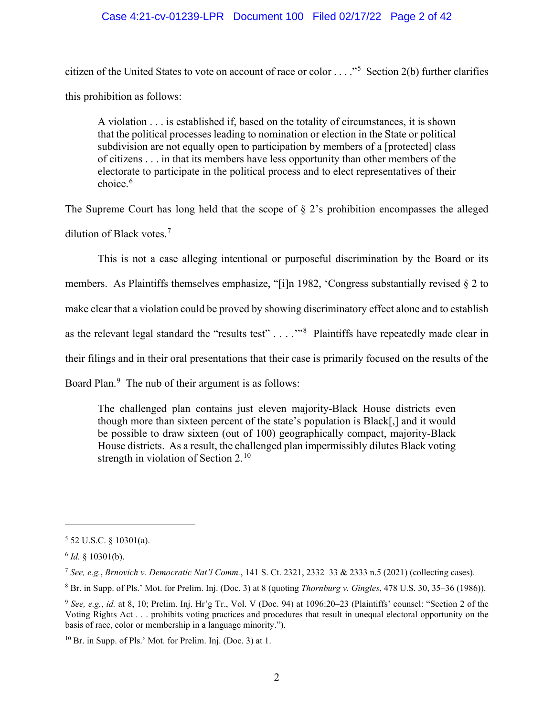## Case 4:21-cv-01239-LPR Document 100 Filed 02/17/22 Page 2 of 42

citizen of the United States to vote on account of race or color . . . . . . . Section 2(b) further clarifies this prohibition as follows:

A violation . . . is established if, based on the totality of circumstances, it is shown that the political processes leading to nomination or election in the State or political subdivision are not equally open to participation by members of a [protected] class of citizens . . . in that its members have less opportunity than other members of the electorate to participate in the political process and to elect representatives of their choice.<sup>[6](#page-1-1)</sup>

The Supreme Court has long held that the scope of  $\S$  2's prohibition encompasses the alleged dilution of Black votes.<sup>[7](#page-1-2)</sup>

This is not a case alleging intentional or purposeful discrimination by the Board or its members. As Plaintiffs themselves emphasize, "[i]n 1982, 'Congress substantially revised § 2 to make clear that a violation could be proved by showing discriminatory effect alone and to establish as the relevant legal standard the "results test"  $\dots$  ."<sup>[8](#page-1-3)</sup> Plaintiffs have repeatedly made clear in their filings and in their oral presentations that their case is primarily focused on the results of the Board Plan.<sup>[9](#page-1-4)</sup> The nub of their argument is as follows:

The challenged plan contains just eleven majority-Black House districts even though more than sixteen percent of the state's population is Black[,] and it would be possible to draw sixteen (out of 100) geographically compact, majority-Black House districts. As a result, the challenged plan impermissibly dilutes Black voting strength in violation of Section  $2.^{10}$  $2.^{10}$  $2.^{10}$ 

<span id="page-1-0"></span> $5$  52 U.S.C. § 10301(a).

<span id="page-1-1"></span><sup>6</sup> *Id.* § 10301(b).

<span id="page-1-2"></span><sup>7</sup> *See, e.g.*, *Brnovich v. Democratic Nat'l Comm.*, 141 S. Ct. 2321, 2332–33 & 2333 n.5 (2021) (collecting cases).

<span id="page-1-3"></span><sup>8</sup> Br. in Supp. of Pls.' Mot. for Prelim. Inj. (Doc. 3) at 8 (quoting *Thornburg v. Gingles*, 478 U.S. 30, 35–36 (1986)).

<span id="page-1-4"></span><sup>9</sup> *See, e.g.*, *id.* at 8, 10; Prelim. Inj. Hr'g Tr., Vol. V (Doc. 94) at 1096:20–23 (Plaintiffs' counsel: "Section 2 of the Voting Rights Act . . . prohibits voting practices and procedures that result in unequal electoral opportunity on the basis of race, color or membership in a language minority.").

<span id="page-1-5"></span><sup>10</sup> Br. in Supp. of Pls.' Mot. for Prelim. Inj. (Doc. 3) at 1.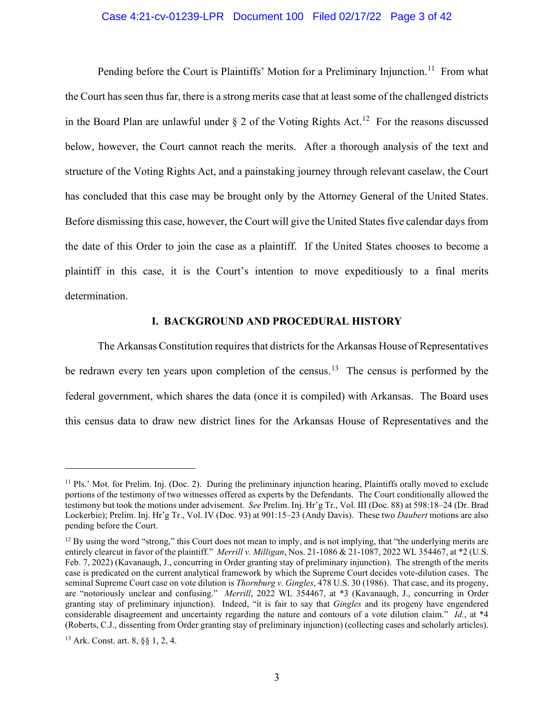## Case 4:21-cv-01239-LPR Document 100 Filed 02/17/22 Page 3 of 42

Pending before the Court is Plaintiffs' Motion for a Preliminary Injunction.<sup>11</sup> From what the Court has seen thus far, there is a strong merits case that at least some of the challenged districts in the Board Plan are unlawful under  $\S 2$  of the Voting Rights Act.<sup>12</sup> For the reasons discussed below, however, the Court cannot reach the merits. After a thorough analysis of the text and structure of the Voting Rights Act, and a painstaking journey through relevant caselaw, the Court has concluded that this case may be brought only by the Attorney General of the United States. Before dismissing this case, however, the Court will give the United States five calendar days from the date of this Order to join the case as a plaintiff. If the United States chooses to become a plaintiff in this case, it is the Court's intention to move expeditiously to a final merits determination.

#### **I. BACKGROUND AND PROCEDURAL HISTORY**

The Arkansas Constitution requires that districts for the Arkansas House of Representatives be redrawn every ten years upon completion of the census.<sup>13</sup> The census is performed by the federal government, which shares the data (once it is compiled) with Arkansas. The Board uses this census data to draw new district lines for the Arkansas House of Representatives and the

<span id="page-2-0"></span> $11$  Pls.' Mot. for Prelim. Inj. (Doc. 2). During the preliminary injunction hearing, Plaintiffs orally moved to exclude portions of the testimony of two witnesses offered as experts by the Defendants. The Court conditionally allowed the testimony but took the motions under advisement. *See* Prelim. Inj. Hr'g Tr., Vol. III (Doc. 88) at 598:18–24 (Dr. Brad Lockerbie); Prelim. Inj. Hr'g Tr., Vol. IV (Doc. 93) at 901:15–23 (Andy Davis). These two *Daubert* motions are also pending before the Court.

<span id="page-2-1"></span> $12$  By using the word "strong," this Court does not mean to imply, and is not implying, that "the underlying merits are entirely clearcut in favor of the plaintiff." *Merrill v. Milligan*, Nos. 21-1086 & 21-1087, 2022 WL 354467, at \*2 (U.S. Feb. 7, 2022) (Kavanaugh, J., concurring in Order granting stay of preliminary injunction). The strength of the merits case is predicated on the current analytical framework by which the Supreme Court decides vote-dilution cases. The seminal Supreme Court case on vote dilution is *Thornburg v. Gingles*, 478 U.S. 30 (1986). That case, and its progeny, are "notoriously unclear and confusing." *Merrill*, 2022 WL 354467, at \*3 (Kavanaugh, J., concurring in Order granting stay of preliminary injunction). Indeed, "it is fair to say that *Gingles* and its progeny have engendered considerable disagreement and uncertainty regarding the nature and contours of a vote dilution claim." *Id.*, at \*4 (Roberts, C.J., dissenting from Order granting stay of preliminary injunction) (collecting cases and scholarly articles).

<span id="page-2-2"></span><sup>13</sup> Ark. Const. art. 8, §§ 1, 2, 4.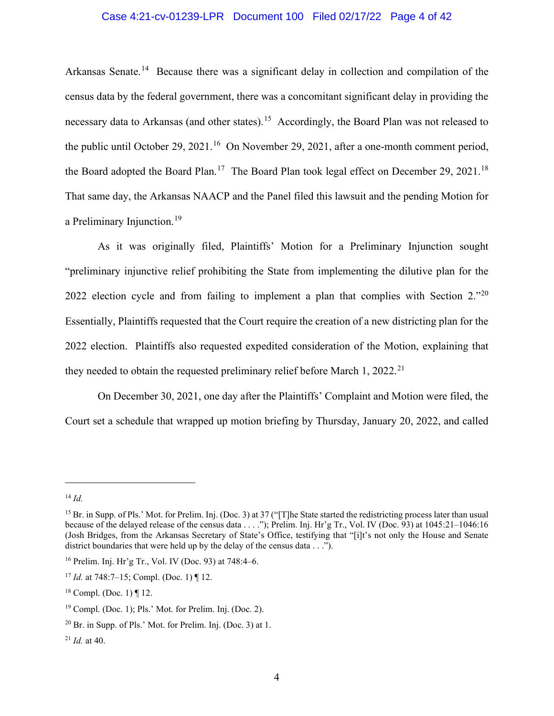# Case 4:21-cv-01239-LPR Document 100 Filed 02/17/22 Page 4 of 42

Arkansas Senate.<sup>14</sup> Because there was a significant delay in collection and compilation of the census data by the federal government, there was a concomitant significant delay in providing the necessary data to Arkansas (and other states).<sup>[15](#page-3-1)</sup> Accordingly, the Board Plan was not released to the public until October 29, 2021.<sup>16</sup> On November 29, 2021, after a one-month comment period, the Board adopted the Board Plan.<sup>17</sup> The Board Plan took legal effect on December 29, 2021.<sup>[18](#page-3-4)</sup> That same day, the Arkansas NAACP and the Panel filed this lawsuit and the pending Motion for a Preliminary Injunction.<sup>[19](#page-3-5)</sup>

As it was originally filed, Plaintiffs' Motion for a Preliminary Injunction sought "preliminary injunctive relief prohibiting the State from implementing the dilutive plan for the [20](#page-3-6)22 election cycle and from failing to implement a plan that complies with Section 2."<sup>20</sup> Essentially, Plaintiffs requested that the Court require the creation of a new districting plan for the 2022 election. Plaintiffs also requested expedited consideration of the Motion, explaining that they needed to obtain the requested preliminary relief before March 1, 2022.<sup>[21](#page-3-7)</sup>

On December 30, 2021, one day after the Plaintiffs' Complaint and Motion were filed, the Court set a schedule that wrapped up motion briefing by Thursday, January 20, 2022, and called

<span id="page-3-0"></span><sup>14</sup> *Id.*

<span id="page-3-1"></span><sup>&</sup>lt;sup>15</sup> Br. in Supp. of Pls.' Mot. for Prelim. Inj. (Doc. 3) at 37 ("[T]he State started the redistricting process later than usual because of the delayed release of the census data . . . ."); Prelim. Inj. Hr'g Tr., Vol. IV (Doc. 93) at 1045:21–1046:16 (Josh Bridges, from the Arkansas Secretary of State's Office, testifying that "[i]t's not only the House and Senate district boundaries that were held up by the delay of the census data . . .").

<span id="page-3-2"></span><sup>16</sup> Prelim. Inj. Hr'g Tr., Vol. IV (Doc. 93) at 748:4–6.

<span id="page-3-3"></span><sup>17</sup> *Id.* at 748:7–15; Compl. (Doc. 1) ¶ 12.

<span id="page-3-4"></span><sup>&</sup>lt;sup>18</sup> Compl. (Doc. 1)  $\P$  12.

<span id="page-3-5"></span> $19$  Compl. (Doc. 1); Pls.' Mot. for Prelim. Inj. (Doc. 2).

<span id="page-3-6"></span> $20$  Br. in Supp. of Pls.' Mot. for Prelim. Inj. (Doc. 3) at 1.

<span id="page-3-7"></span> $^{21}$  *Id.* at 40.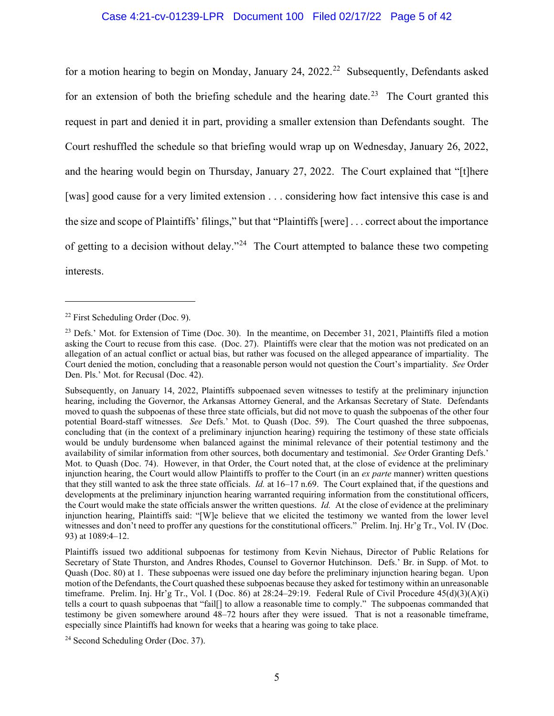## Case 4:21-cv-01239-LPR Document 100 Filed 02/17/22 Page 5 of 42

for a motion hearing to begin on Monday, January 24, 20[22](#page-4-0).<sup>22</sup> Subsequently, Defendants asked for an extension of both the briefing schedule and the hearing date.<sup>[23](#page-4-1)</sup> The Court granted this request in part and denied it in part, providing a smaller extension than Defendants sought. The Court reshuffled the schedule so that briefing would wrap up on Wednesday, January 26, 2022, and the hearing would begin on Thursday, January 27, 2022. The Court explained that "[t]here [was] good cause for a very limited extension . . . considering how fact intensive this case is and the size and scope of Plaintiffs' filings," but that "Plaintiffs [were] . . . correct about the importance of getting to a decision without delay."<sup>24</sup> The Court attempted to balance these two competing interests.

<span id="page-4-0"></span><sup>22</sup> First Scheduling Order (Doc. 9).

<span id="page-4-1"></span><sup>&</sup>lt;sup>23</sup> Defs.' Mot. for Extension of Time (Doc. 30). In the meantime, on December 31, 2021, Plaintiffs filed a motion asking the Court to recuse from this case. (Doc. 27). Plaintiffs were clear that the motion was not predicated on an allegation of an actual conflict or actual bias, but rather was focused on the alleged appearance of impartiality. The Court denied the motion, concluding that a reasonable person would not question the Court's impartiality. *See* Order Den. Pls.' Mot. for Recusal (Doc. 42).

Subsequently, on January 14, 2022, Plaintiffs subpoenaed seven witnesses to testify at the preliminary injunction hearing, including the Governor, the Arkansas Attorney General, and the Arkansas Secretary of State. Defendants moved to quash the subpoenas of these three state officials, but did not move to quash the subpoenas of the other four potential Board-staff witnesses. *See* Defs.' Mot. to Quash (Doc. 59). The Court quashed the three subpoenas, concluding that (in the context of a preliminary injunction hearing) requiring the testimony of these state officials would be unduly burdensome when balanced against the minimal relevance of their potential testimony and the availability of similar information from other sources, both documentary and testimonial. *See* Order Granting Defs.' Mot. to Quash (Doc. 74). However, in that Order, the Court noted that, at the close of evidence at the preliminary injunction hearing, the Court would allow Plaintiffs to proffer to the Court (in an *ex parte* manner) written questions that they still wanted to ask the three state officials. *Id.* at 16–17 n.69. The Court explained that, if the questions and developments at the preliminary injunction hearing warranted requiring information from the constitutional officers, the Court would make the state officials answer the written questions. *Id.* At the close of evidence at the preliminary injunction hearing, Plaintiffs said: "[W]e believe that we elicited the testimony we wanted from the lower level witnesses and don't need to proffer any questions for the constitutional officers." Prelim. Inj. Hr'g Tr., Vol. IV (Doc. 93) at 1089:4–12.

Plaintiffs issued two additional subpoenas for testimony from Kevin Niehaus, Director of Public Relations for Secretary of State Thurston, and Andres Rhodes, Counsel to Governor Hutchinson. Defs.' Br. in Supp. of Mot. to Quash (Doc. 80) at 1. These subpoenas were issued one day before the preliminary injunction hearing began. Upon motion of the Defendants, the Court quashed these subpoenas because they asked for testimony within an unreasonable timeframe. Prelim. Inj. Hr'g Tr., Vol. I (Doc. 86) at  $28:24-29:19$ . Federal Rule of Civil Procedure  $45(d)(3)(A)(i)$ tells a court to quash subpoenas that "fail[] to allow a reasonable time to comply." The subpoenas commanded that testimony be given somewhere around 48–72 hours after they were issued. That is not a reasonable timeframe, especially since Plaintiffs had known for weeks that a hearing was going to take place.

<span id="page-4-2"></span><sup>24</sup> Second Scheduling Order (Doc. 37).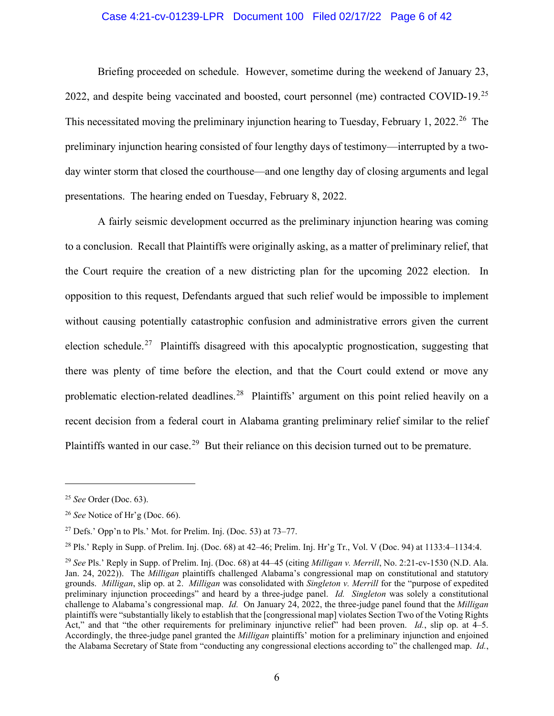# Case 4:21-cv-01239-LPR Document 100 Filed 02/17/22 Page 6 of 42

Briefing proceeded on schedule. However, sometime during the weekend of January 23, 2022, and despite being vaccinated and boosted, court personnel (me) contracted COVID-19.<sup>[25](#page-5-0)</sup> This necessitated moving the preliminary injunction hearing to Tuesday, February 1, 2022.<sup>26</sup> The preliminary injunction hearing consisted of four lengthy days of testimony—interrupted by a twoday winter storm that closed the courthouse—and one lengthy day of closing arguments and legal presentations. The hearing ended on Tuesday, February 8, 2022.

A fairly seismic development occurred as the preliminary injunction hearing was coming to a conclusion. Recall that Plaintiffs were originally asking, as a matter of preliminary relief, that the Court require the creation of a new districting plan for the upcoming 2022 election. In opposition to this request, Defendants argued that such relief would be impossible to implement without causing potentially catastrophic confusion and administrative errors given the current election schedule.<sup>[27](#page-5-2)</sup> Plaintiffs disagreed with this apocalyptic prognostication, suggesting that there was plenty of time before the election, and that the Court could extend or move any problematic election-related deadlines.<sup>28</sup> Plaintiffs' argument on this point relied heavily on a recent decision from a federal court in Alabama granting preliminary relief similar to the relief Plaintiffs wanted in our case.<sup>[29](#page-5-4)</sup> But their reliance on this decision turned out to be premature.

<span id="page-5-0"></span><sup>25</sup> *See* Order (Doc. 63).

<span id="page-5-1"></span><sup>26</sup> *See* Notice of Hr'g (Doc. 66).

<span id="page-5-2"></span><sup>&</sup>lt;sup>27</sup> Defs.' Opp'n to Pls.' Mot. for Prelim. Inj. (Doc. 53) at  $73-77$ .

<span id="page-5-3"></span><sup>&</sup>lt;sup>28</sup> Pls.' Reply in Supp. of Prelim. Inj. (Doc. 68) at  $42-46$ ; Prelim. Inj. Hr'g Tr., Vol. V (Doc. 94) at  $1133:4-1134:4$ .

<span id="page-5-4"></span><sup>29</sup> *See* Pls.' Reply in Supp. of Prelim. Inj. (Doc. 68) at 44–45 (citing *Milligan v. Merrill*, No. 2:21-cv-1530 (N.D. Ala. Jan. 24, 2022)). The *Milligan* plaintiffs challenged Alabama's congressional map on constitutional and statutory grounds. *Milligan*, slip op. at 2. *Milligan* was consolidated with *Singleton v. Merrill* for the "purpose of expedited preliminary injunction proceedings" and heard by a three-judge panel. *Id. Singleton* was solely a constitutional challenge to Alabama's congressional map. *Id.* On January 24, 2022, the three-judge panel found that the *Milligan*  plaintiffs were "substantially likely to establish that the [congressional map] violates Section Two of the Voting Rights Act," and that "the other requirements for preliminary injunctive relief" had been proven. *Id.*, slip op. at 4–5. Accordingly, the three-judge panel granted the *Milligan* plaintiffs' motion for a preliminary injunction and enjoined the Alabama Secretary of State from "conducting any congressional elections according to" the challenged map. *Id.*,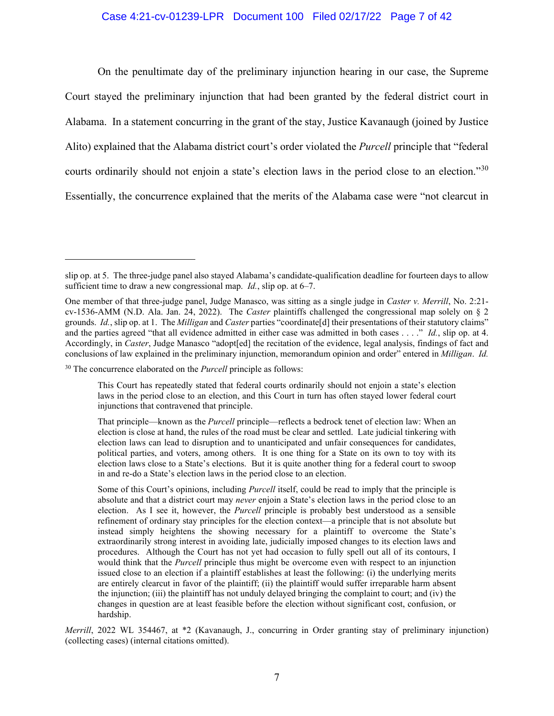## Case 4:21-cv-01239-LPR Document 100 Filed 02/17/22 Page 7 of 42

On the penultimate day of the preliminary injunction hearing in our case, the Supreme Court stayed the preliminary injunction that had been granted by the federal district court in Alabama. In a statement concurring in the grant of the stay, Justice Kavanaugh (joined by Justice Alito) explained that the Alabama district court's order violated the *Purcell* principle that "federal courts ordinarily should not enjoin a state's election laws in the period close to an election."[30](#page-6-0) Essentially, the concurrence explained that the merits of the Alabama case were "not clearcut in

<span id="page-6-0"></span><sup>30</sup> The concurrence elaborated on the *Purcell* principle as follows:

*Merrill*, 2022 WL 354467, at \*2 (Kavanaugh, J., concurring in Order granting stay of preliminary injunction) (collecting cases) (internal citations omitted).

slip op. at 5. The three-judge panel also stayed Alabama's candidate-qualification deadline for fourteen days to allow sufficient time to draw a new congressional map. *Id.*, slip op. at 6–7.

One member of that three-judge panel, Judge Manasco, was sitting as a single judge in *Caster v. Merrill*, No. 2:21 cv-1536-AMM (N.D. Ala. Jan. 24, 2022). The *Caster* plaintiffs challenged the congressional map solely on § 2 grounds. *Id.*, slip op. at 1. The *Milligan* and *Caster* parties "coordinate[d] their presentations of their statutory claims" and the parties agreed "that all evidence admitted in either case was admitted in both cases . . . ." *Id.*, slip op. at 4. Accordingly, in *Caster*, Judge Manasco "adopt[ed] the recitation of the evidence, legal analysis, findings of fact and conclusions of law explained in the preliminary injunction, memorandum opinion and order" entered in *Milligan*. *Id.*

This Court has repeatedly stated that federal courts ordinarily should not enjoin a state's election laws in the period close to an election, and this Court in turn has often stayed lower federal court injunctions that contravened that principle.

That principle—known as the *Purcell* principle—reflects a bedrock tenet of election law: When an election is close at hand, the rules of the road must be clear and settled. Late judicial tinkering with election laws can lead to disruption and to unanticipated and unfair consequences for candidates, political parties, and voters, among others. It is one thing for a State on its own to toy with its election laws close to a State's elections. But it is quite another thing for a federal court to swoop in and re-do a State's election laws in the period close to an election.

Some of this Court's opinions, including *Purcell* itself, could be read to imply that the principle is absolute and that a district court may *never* enjoin a State's election laws in the period close to an election. As I see it, however, the *Purcell* principle is probably best understood as a sensible refinement of ordinary stay principles for the election context—a principle that is not absolute but instead simply heightens the showing necessary for a plaintiff to overcome the State's extraordinarily strong interest in avoiding late, judicially imposed changes to its election laws and procedures. Although the Court has not yet had occasion to fully spell out all of its contours, I would think that the *Purcell* principle thus might be overcome even with respect to an injunction issued close to an election if a plaintiff establishes at least the following: (i) the underlying merits are entirely clearcut in favor of the plaintiff; (ii) the plaintiff would suffer irreparable harm absent the injunction; (iii) the plaintiff has not unduly delayed bringing the complaint to court; and (iv) the changes in question are at least feasible before the election without significant cost, confusion, or hardship.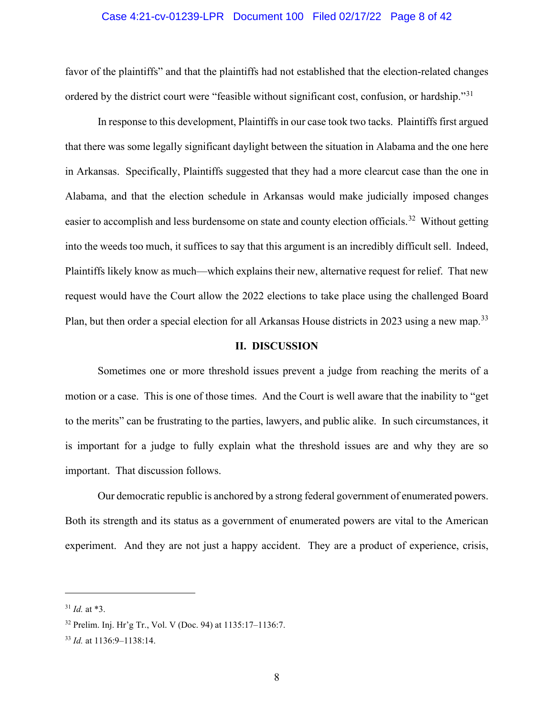## Case 4:21-cv-01239-LPR Document 100 Filed 02/17/22 Page 8 of 42

favor of the plaintiffs" and that the plaintiffs had not established that the election-related changes ordered by the district court were "feasible without significant cost, confusion, or hardship."<sup>31</sup>

In response to this development, Plaintiffs in our case took two tacks. Plaintiffs first argued that there was some legally significant daylight between the situation in Alabama and the one here in Arkansas. Specifically, Plaintiffs suggested that they had a more clearcut case than the one in Alabama, and that the election schedule in Arkansas would make judicially imposed changes easier to accomplish and less burdensome on state and county election officials.<sup>32</sup> Without getting into the weeds too much, it suffices to say that this argument is an incredibly difficult sell. Indeed, Plaintiffs likely know as much—which explains their new, alternative request for relief. That new request would have the Court allow the 2022 elections to take place using the challenged Board Plan, but then order a special election for all Arkansas House districts in 2023 using a new map.<sup>[33](#page-7-2)</sup>

#### **II. DISCUSSION**

Sometimes one or more threshold issues prevent a judge from reaching the merits of a motion or a case. This is one of those times. And the Court is well aware that the inability to "get to the merits" can be frustrating to the parties, lawyers, and public alike. In such circumstances, it is important for a judge to fully explain what the threshold issues are and why they are so important. That discussion follows.

Our democratic republic is anchored by a strong federal government of enumerated powers. Both its strength and its status as a government of enumerated powers are vital to the American experiment. And they are not just a happy accident. They are a product of experience, crisis,

<span id="page-7-0"></span> $31$  *Id.* at \*3.

<span id="page-7-1"></span><sup>32</sup> Prelim. Inj. Hr'g Tr., Vol. V (Doc. 94) at 1135:17–1136:7.

<span id="page-7-2"></span><sup>33</sup> *Id.* at 1136:9–1138:14.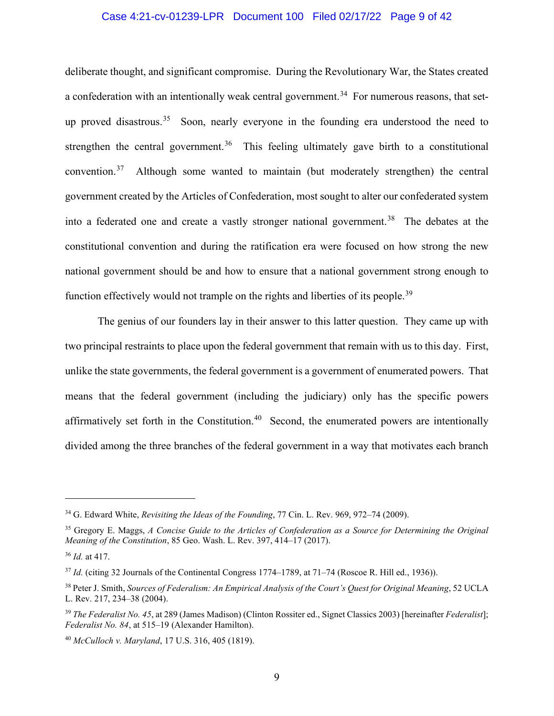# Case 4:21-cv-01239-LPR Document 100 Filed 02/17/22 Page 9 of 42

deliberate thought, and significant compromise. During the Revolutionary War, the States created a confederation with an intentionally weak central government.<sup>[34](#page-8-0)</sup> For numerous reasons, that set-up proved disastrous.<sup>[35](#page-8-1)</sup> Soon, nearly everyone in the founding era understood the need to strengthen the central government.<sup>36</sup> This feeling ultimately gave birth to a constitutional convention.[37](#page-8-3) Although some wanted to maintain (but moderately strengthen) the central government created by the Articles of Confederation, most sought to alter our confederated system into a federated one and create a vastly stronger national government. [38](#page-8-4) The debates at the constitutional convention and during the ratification era were focused on how strong the new national government should be and how to ensure that a national government strong enough to function effectively would not trample on the rights and liberties of its people.<sup>[39](#page-8-5)</sup>

The genius of our founders lay in their answer to this latter question. They came up with two principal restraints to place upon the federal government that remain with us to this day. First, unlike the state governments, the federal government is a government of enumerated powers. That means that the federal government (including the judiciary) only has the specific powers affirmatively set forth in the Constitution.<sup>[40](#page-8-6)</sup> Second, the enumerated powers are intentionally divided among the three branches of the federal government in a way that motivates each branch

<span id="page-8-0"></span><sup>34</sup> G. Edward White, *Revisiting the Ideas of the Founding*, 77 Cin. L. Rev. 969, 972–74 (2009).

<span id="page-8-1"></span><sup>35</sup> Gregory E. Maggs, *A Concise Guide to the Articles of Confederation as a Source for Determining the Original Meaning of the Constitution*, 85 Geo. Wash. L. Rev. 397, 414–17 (2017).

<span id="page-8-2"></span><sup>36</sup> *Id.* at 417.

<span id="page-8-3"></span><sup>&</sup>lt;sup>37</sup> *Id.* (citing 32 Journals of the Continental Congress 1774–1789, at 71–74 (Roscoe R. Hill ed., 1936)).

<span id="page-8-4"></span><sup>38</sup> Peter J. Smith, *Sources of Federalism: An Empirical Analysis of the Court's Quest for Original Meaning*, 52 UCLA L. Rev. 217, 234–38 (2004).

<span id="page-8-5"></span><sup>39</sup> *The Federalist No. 45*, at 289 (James Madison) (Clinton Rossiter ed., Signet Classics 2003) [hereinafter *Federalist*]; *Federalist No. 84*, at 515–19 (Alexander Hamilton).

<span id="page-8-6"></span><sup>40</sup> *McCulloch v. Maryland*, 17 U.S. 316, 405 (1819).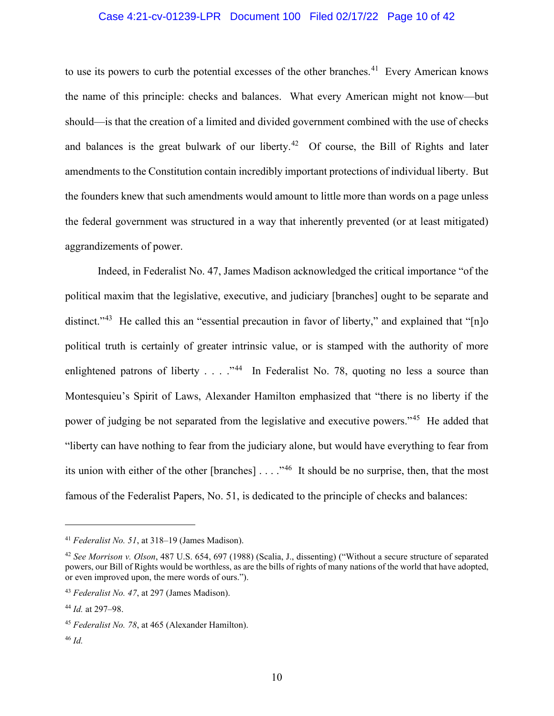# Case 4:21-cv-01239-LPR Document 100 Filed 02/17/22 Page 10 of 42

to use its powers to curb the potential excesses of the other branches.<sup>41</sup> Every American knows the name of this principle: checks and balances. What every American might not know—but should—is that the creation of a limited and divided government combined with the use of checks and balances is the great bulwark of our liberty.<sup>[42](#page-9-1)</sup> Of course, the Bill of Rights and later amendments to the Constitution contain incredibly important protections of individual liberty. But the founders knew that such amendments would amount to little more than words on a page unless the federal government was structured in a way that inherently prevented (or at least mitigated) aggrandizements of power.

Indeed, in Federalist No. 47, James Madison acknowledged the critical importance "of the political maxim that the legislative, executive, and judiciary [branches] ought to be separate and distinct."<sup>[43](#page-9-2)</sup> He called this an "essential precaution in favor of liberty," and explained that "[n]o political truth is certainly of greater intrinsic value, or is stamped with the authority of more enlightened patrons of liberty . . . ."[44](#page-9-3) In Federalist No. 78, quoting no less a source than Montesquieu's Spirit of Laws, Alexander Hamilton emphasized that "there is no liberty if the power of judging be not separated from the legislative and executive powers."[45](#page-9-4) He added that "liberty can have nothing to fear from the judiciary alone, but would have everything to fear from its union with either of the other [branches]  $\ldots$ ."<sup>46</sup> It should be no surprise, then, that the most famous of the Federalist Papers, No. 51, is dedicated to the principle of checks and balances:

<span id="page-9-0"></span><sup>41</sup> *Federalist No. 51*, at 318–19 (James Madison).

<span id="page-9-1"></span><sup>42</sup> *See Morrison v. Olson*, 487 U.S. 654, 697 (1988) (Scalia, J., dissenting) ("Without a secure structure of separated powers, our Bill of Rights would be worthless, as are the bills of rights of many nations of the world that have adopted, or even improved upon, the mere words of ours.").

<span id="page-9-2"></span><sup>43</sup> *Federalist No. 47*, at 297 (James Madison).

<span id="page-9-3"></span><sup>44</sup> *Id.* at 297–98.

<span id="page-9-4"></span><sup>45</sup> *Federalist No. 78*, at 465 (Alexander Hamilton).

<span id="page-9-5"></span><sup>46</sup> *Id.*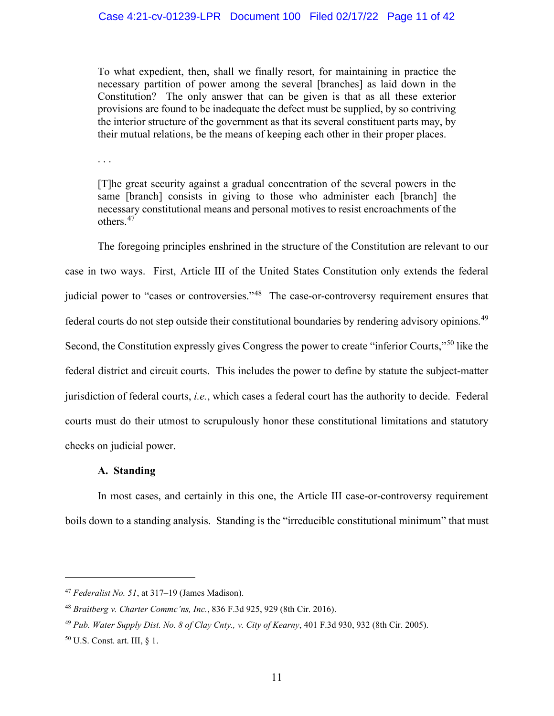To what expedient, then, shall we finally resort, for maintaining in practice the necessary partition of power among the several [branches] as laid down in the Constitution? The only answer that can be given is that as all these exterior provisions are found to be inadequate the defect must be supplied, by so contriving the interior structure of the government as that its several constituent parts may, by their mutual relations, be the means of keeping each other in their proper places.

. . .

[T]he great security against a gradual concentration of the several powers in the same [branch] consists in giving to those who administer each [branch] the necessary constitutional means and personal motives to resist encroachments of the others. [47](#page-10-0)

The foregoing principles enshrined in the structure of the Constitution are relevant to our case in two ways. First, Article III of the United States Constitution only extends the federal judicial power to "cases or controversies."<sup>48</sup> The case-or-controversy requirement ensures that federal courts do not step outside their constitutional boundaries by rendering advisory opinions.[49](#page-10-2) Second, the Constitution expressly gives Congress the power to create "inferior Courts,"[50](#page-10-3) like the federal district and circuit courts. This includes the power to define by statute the subject-matter jurisdiction of federal courts, *i.e.*, which cases a federal court has the authority to decide. Federal courts must do their utmost to scrupulously honor these constitutional limitations and statutory checks on judicial power.

## **A. Standing**

In most cases, and certainly in this one, the Article III case-or-controversy requirement boils down to a standing analysis. Standing is the "irreducible constitutional minimum" that must

<span id="page-10-0"></span><sup>47</sup> *Federalist No. 51*, at 317–19 (James Madison).

<span id="page-10-1"></span><sup>48</sup> *Braitberg v. Charter Commc'ns, Inc.*, 836 F.3d 925, 929 (8th Cir. 2016).

<span id="page-10-2"></span><sup>49</sup> *Pub. Water Supply Dist. No. 8 of Clay Cnty., v. City of Kearny*, 401 F.3d 930, 932 (8th Cir. 2005).

<span id="page-10-3"></span><sup>50</sup> U.S. Const. art. III, § 1.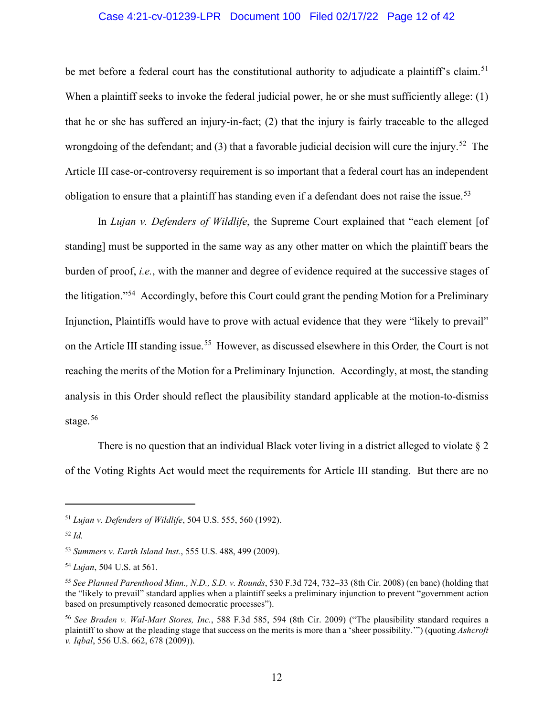# Case 4:21-cv-01239-LPR Document 100 Filed 02/17/22 Page 12 of 42

be met before a federal court has the constitutional authority to adjudicate a plaintiff's claim.<sup>[51](#page-11-0)</sup> When a plaintiff seeks to invoke the federal judicial power, he or she must sufficiently allege: (1) that he or she has suffered an injury-in-fact; (2) that the injury is fairly traceable to the alleged wrongdoing of the defendant; and (3) that a favorable judicial decision will cure the injury.<sup>52</sup> The Article III case-or-controversy requirement is so important that a federal court has an independent obligation to ensure that a plaintiff has standing even if a defendant does not raise the issue.<sup>53</sup>

In *Lujan v. Defenders of Wildlife*, the Supreme Court explained that "each element [of standing] must be supported in the same way as any other matter on which the plaintiff bears the burden of proof, *i.e.*, with the manner and degree of evidence required at the successive stages of the litigation."[54](#page-11-3) Accordingly, before this Court could grant the pending Motion for a Preliminary Injunction, Plaintiffs would have to prove with actual evidence that they were "likely to prevail" on the Article III standing issue. [55](#page-11-4) However, as discussed elsewhere in this Order*,* the Court is not reaching the merits of the Motion for a Preliminary Injunction. Accordingly, at most, the standing analysis in this Order should reflect the plausibility standard applicable at the motion-to-dismiss stage. $56$ 

There is no question that an individual Black voter living in a district alleged to violate  $\S 2$ of the Voting Rights Act would meet the requirements for Article III standing. But there are no

<span id="page-11-0"></span><sup>51</sup> *Lujan v. Defenders of Wildlife*, 504 U.S. 555, 560 (1992).

<span id="page-11-1"></span><sup>52</sup> *Id.*

<span id="page-11-2"></span><sup>53</sup> *Summers v. Earth Island Inst.*, 555 U.S. 488, 499 (2009).

<span id="page-11-3"></span><sup>54</sup> *Lujan*, 504 U.S. at 561.

<span id="page-11-4"></span><sup>55</sup> *See Planned Parenthood Minn., N.D., S.D. v. Rounds*, 530 F.3d 724, 732–33 (8th Cir. 2008) (en banc) (holding that the "likely to prevail" standard applies when a plaintiff seeks a preliminary injunction to prevent "government action based on presumptively reasoned democratic processes").

<span id="page-11-5"></span><sup>56</sup> *See Braden v. Wal-Mart Stores, Inc.*, 588 F.3d 585, 594 (8th Cir. 2009) ("The plausibility standard requires a plaintiff to show at the pleading stage that success on the merits is more than a 'sheer possibility.'") (quoting *Ashcroft v. Iqbal*, 556 U.S. 662, 678 (2009)).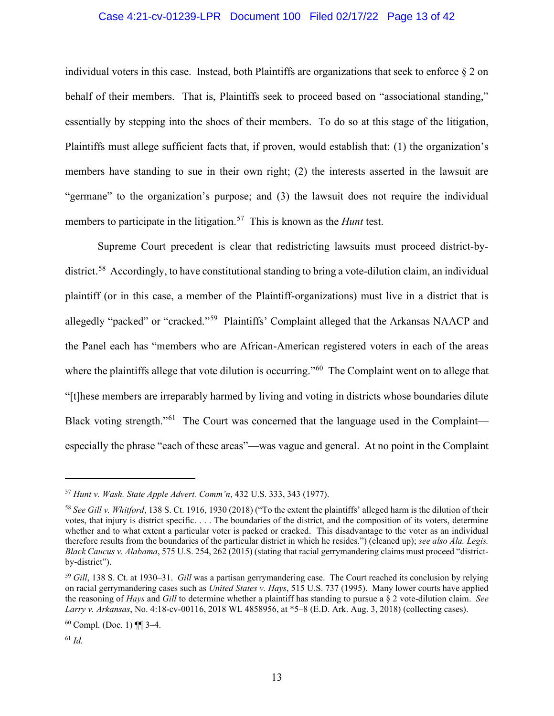## Case 4:21-cv-01239-LPR Document 100 Filed 02/17/22 Page 13 of 42

individual voters in this case. Instead, both Plaintiffs are organizations that seek to enforce  $\S 2$  on behalf of their members. That is, Plaintiffs seek to proceed based on "associational standing," essentially by stepping into the shoes of their members. To do so at this stage of the litigation, Plaintiffs must allege sufficient facts that, if proven, would establish that: (1) the organization's members have standing to sue in their own right; (2) the interests asserted in the lawsuit are "germane" to the organization's purpose; and (3) the lawsuit does not require the individual members to participate in the litigation.<sup>[57](#page-12-0)</sup> This is known as the *Hunt* test.

Supreme Court precedent is clear that redistricting lawsuits must proceed district-by-district.<sup>[58](#page-12-1)</sup> Accordingly, to have constitutional standing to bring a vote-dilution claim, an individual plaintiff (or in this case, a member of the Plaintiff-organizations) must live in a district that is allegedly "packed" or "cracked."[59](#page-12-2) Plaintiffs' Complaint alleged that the Arkansas NAACP and the Panel each has "members who are African-American registered voters in each of the areas where the plaintiffs allege that vote dilution is occurring."<sup>[60](#page-12-3)</sup> The Complaint went on to allege that "[t]hese members are irreparably harmed by living and voting in districts whose boundaries dilute Black voting strength."<sup>[61](#page-12-4)</sup> The Court was concerned that the language used in the Complaint especially the phrase "each of these areas"—was vague and general. At no point in the Complaint

<span id="page-12-0"></span><sup>57</sup> *Hunt v. Wash. State Apple Advert. Comm'n*, 432 U.S. 333, 343 (1977).

<span id="page-12-1"></span><sup>58</sup> *See Gill v. Whitford*, 138 S. Ct. 1916, 1930 (2018) ("To the extent the plaintiffs' alleged harm is the dilution of their votes, that injury is district specific. . . . The boundaries of the district, and the composition of its voters, determine whether and to what extent a particular voter is packed or cracked. This disadvantage to the voter as an individual therefore results from the boundaries of the particular district in which he resides.") (cleaned up); *see also Ala. Legis. Black Caucus v. Alabama*, 575 U.S. 254, 262 (2015) (stating that racial gerrymandering claims must proceed "districtby-district").

<span id="page-12-2"></span><sup>59</sup> *Gill*, 138 S. Ct. at 1930–31. *Gill* was a partisan gerrymandering case. The Court reached its conclusion by relying on racial gerrymandering cases such as *United States v. Hays*, 515 U.S. 737 (1995). Many lower courts have applied the reasoning of *Hays* and *Gill* to determine whether a plaintiff has standing to pursue a § 2 vote-dilution claim. *See Larry v. Arkansas*, No. 4:18-cv-00116, 2018 WL 4858956, at \*5–8 (E.D. Ark. Aug. 3, 2018) (collecting cases).

<span id="page-12-3"></span> $60$  Compl. (Doc. 1)  $\P$  3–4.

<span id="page-12-4"></span><sup>61</sup> *Id.*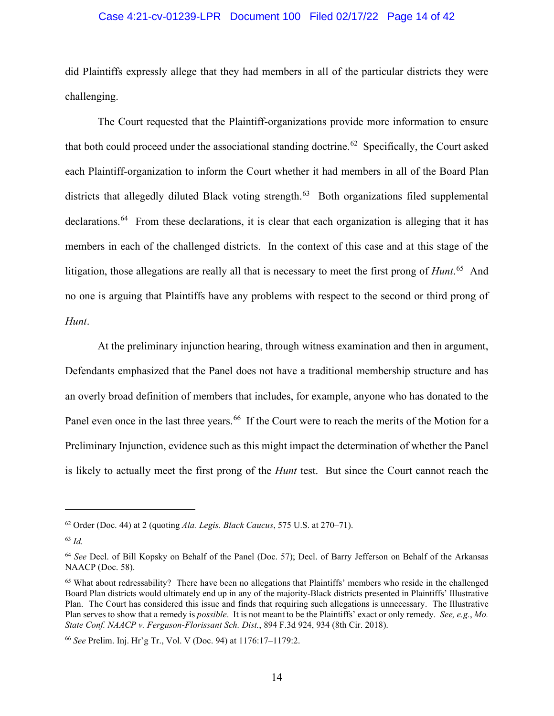## Case 4:21-cv-01239-LPR Document 100 Filed 02/17/22 Page 14 of 42

did Plaintiffs expressly allege that they had members in all of the particular districts they were challenging.

The Court requested that the Plaintiff-organizations provide more information to ensure that both could proceed under the associational standing doctrine.<sup>62</sup> Specifically, the Court asked each Plaintiff-organization to inform the Court whether it had members in all of the Board Plan districts that allegedly diluted Black voting strength.<sup>63</sup> Both organizations filed supplemental declarations.<sup>64</sup> From these declarations, it is clear that each organization is alleging that it has members in each of the challenged districts. In the context of this case and at this stage of the litigation, those allegations are really all that is necessary to meet the first prong of *Hunt*. [65](#page-13-3) And no one is arguing that Plaintiffs have any problems with respect to the second or third prong of *Hunt*.

At the preliminary injunction hearing, through witness examination and then in argument, Defendants emphasized that the Panel does not have a traditional membership structure and has an overly broad definition of members that includes, for example, anyone who has donated to the Panel even once in the last three years.<sup>[66](#page-13-4)</sup> If the Court were to reach the merits of the Motion for a Preliminary Injunction, evidence such as this might impact the determination of whether the Panel is likely to actually meet the first prong of the *Hunt* test. But since the Court cannot reach the

<span id="page-13-0"></span><sup>62</sup> Order (Doc. 44) at 2 (quoting *Ala. Legis. Black Caucus*, 575 U.S. at 270–71).

<span id="page-13-1"></span><sup>63</sup> *Id.*

<span id="page-13-2"></span><sup>64</sup> *See* Decl. of Bill Kopsky on Behalf of the Panel (Doc. 57); Decl. of Barry Jefferson on Behalf of the Arkansas NAACP (Doc. 58).

<span id="page-13-3"></span><sup>65</sup> What about redressability? There have been no allegations that Plaintiffs' members who reside in the challenged Board Plan districts would ultimately end up in any of the majority-Black districts presented in Plaintiffs' Illustrative Plan. The Court has considered this issue and finds that requiring such allegations is unnecessary. The Illustrative Plan serves to show that a remedy is *possible*. It is not meant to be the Plaintiffs' exact or only remedy. *See, e.g.*, *Mo. State Conf. NAACP v. Ferguson-Florissant Sch. Dist.*, 894 F.3d 924, 934 (8th Cir. 2018).

<span id="page-13-4"></span><sup>66</sup> *See* Prelim. Inj. Hr'g Tr., Vol. V (Doc. 94) at 1176:17–1179:2.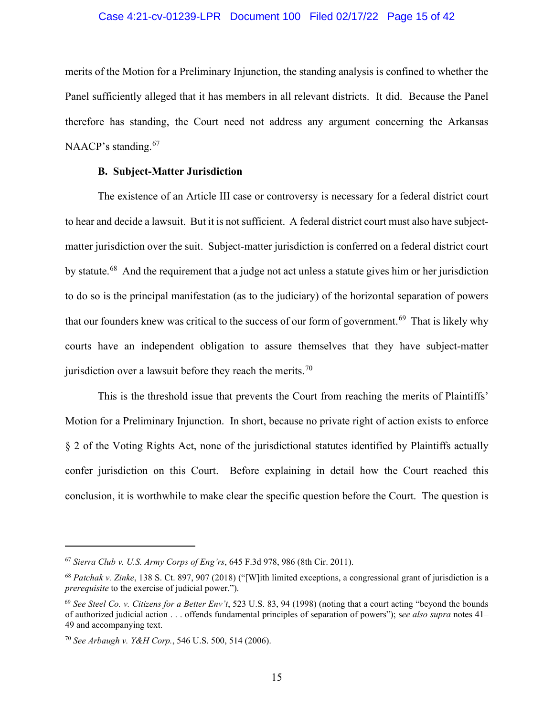#### Case 4:21-cv-01239-LPR Document 100 Filed 02/17/22 Page 15 of 42

merits of the Motion for a Preliminary Injunction, the standing analysis is confined to whether the Panel sufficiently alleged that it has members in all relevant districts. It did. Because the Panel therefore has standing, the Court need not address any argument concerning the Arkansas NAACP's standing.<sup>[67](#page-14-0)</sup>

# **B. Subject-Matter Jurisdiction**

The existence of an Article III case or controversy is necessary for a federal district court to hear and decide a lawsuit. But it is not sufficient. A federal district court must also have subjectmatter jurisdiction over the suit. Subject-matter jurisdiction is conferred on a federal district court by statute.<sup>68</sup> And the requirement that a judge not act unless a statute gives him or her jurisdiction to do so is the principal manifestation (as to the judiciary) of the horizontal separation of powers that our founders knew was critical to the success of our form of government.<sup>69</sup> That is likely why courts have an independent obligation to assure themselves that they have subject-matter jurisdiction over a lawsuit before they reach the merits.<sup>70</sup>

This is the threshold issue that prevents the Court from reaching the merits of Plaintiffs' Motion for a Preliminary Injunction. In short, because no private right of action exists to enforce § 2 of the Voting Rights Act, none of the jurisdictional statutes identified by Plaintiffs actually confer jurisdiction on this Court. Before explaining in detail how the Court reached this conclusion, it is worthwhile to make clear the specific question before the Court. The question is

<span id="page-14-0"></span><sup>67</sup> *Sierra Club v. U.S. Army Corps of Eng'rs*, 645 F.3d 978, 986 (8th Cir. 2011).

<span id="page-14-1"></span><sup>68</sup> *Patchak v. Zinke*, 138 S. Ct. 897, 907 (2018) ("[W]ith limited exceptions, a congressional grant of jurisdiction is a *prerequisite* to the exercise of judicial power.").

<span id="page-14-2"></span><sup>69</sup> *See Steel Co. v. Citizens for a Better Env't*, 523 U.S. 83, 94 (1998) (noting that a court acting "beyond the bounds of authorized judicial action . . . offends fundamental principles of separation of powers"); s*ee also supra* notes 41– 49 and accompanying text.

<span id="page-14-3"></span><sup>70</sup> *See Arbaugh v. Y&H Corp.*, 546 U.S. 500, 514 (2006).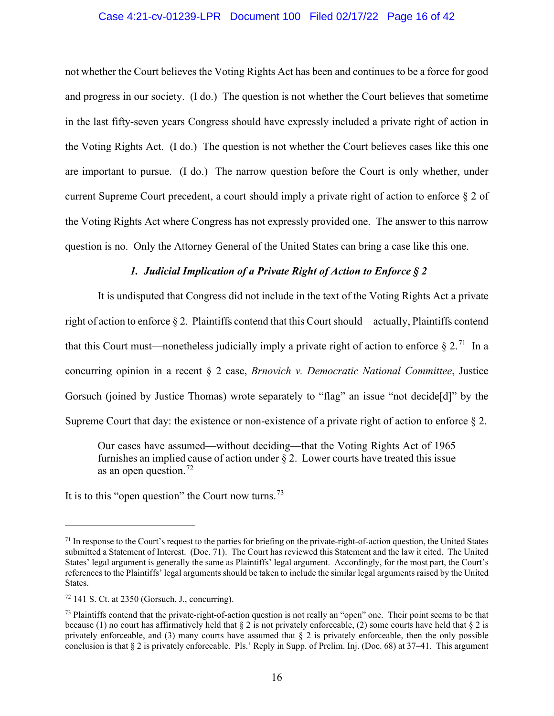### Case 4:21-cv-01239-LPR Document 100 Filed 02/17/22 Page 16 of 42

not whether the Court believes the Voting Rights Act has been and continues to be a force for good and progress in our society. (I do.) The question is not whether the Court believes that sometime in the last fifty-seven years Congress should have expressly included a private right of action in the Voting Rights Act. (I do.) The question is not whether the Court believes cases like this one are important to pursue. (I do.) The narrow question before the Court is only whether, under current Supreme Court precedent, a court should imply a private right of action to enforce  $\S 2$  of the Voting Rights Act where Congress has not expressly provided one. The answer to this narrow question is no. Only the Attorney General of the United States can bring a case like this one.

## *1. Judicial Implication of a Private Right of Action to Enforce § 2*

It is undisputed that Congress did not include in the text of the Voting Rights Act a private right of action to enforce § 2. Plaintiffs contend that this Court should—actually, Plaintiffs contend that this Court must—nonetheless judicially imply a private right of action to enforce  $\S 2$ .<sup>[71](#page-15-0)</sup> In a concurring opinion in a recent § 2 case, *Brnovich v. Democratic National Committee*, Justice Gorsuch (joined by Justice Thomas) wrote separately to "flag" an issue "not decide[d]" by the Supreme Court that day: the existence or non-existence of a private right of action to enforce § 2.

Our cases have assumed—without deciding—that the Voting Rights Act of 1965 furnishes an implied cause of action under  $\sqrt{2}$ . Lower courts have treated this issue as an open question.<sup>[72](#page-15-1)</sup>

It is to this "open question" the Court now turns.<sup>[73](#page-15-2)</sup>

<span id="page-15-0"></span> $71$  In response to the Court's request to the parties for briefing on the private-right-of-action question, the United States submitted a Statement of Interest. (Doc. 71). The Court has reviewed this Statement and the law it cited. The United States' legal argument is generally the same as Plaintiffs' legal argument. Accordingly, for the most part, the Court's references to the Plaintiffs' legal arguments should be taken to include the similar legal arguments raised by the United States.

<span id="page-15-1"></span> $72$  141 S. Ct. at 2350 (Gorsuch, J., concurring).

<span id="page-15-2"></span> $<sup>73</sup>$  Plaintiffs contend that the private-right-of-action question is not really an "open" one. Their point seems to be that</sup> because (1) no court has affirmatively held that  $\S 2$  is not privately enforceable, (2) some courts have held that  $\S 2$  is privately enforceable, and (3) many courts have assumed that  $\S$  2 is privately enforceable, then the only possible conclusion is that § 2 is privately enforceable. Pls.' Reply in Supp. of Prelim. Inj. (Doc. 68) at 37–41. This argument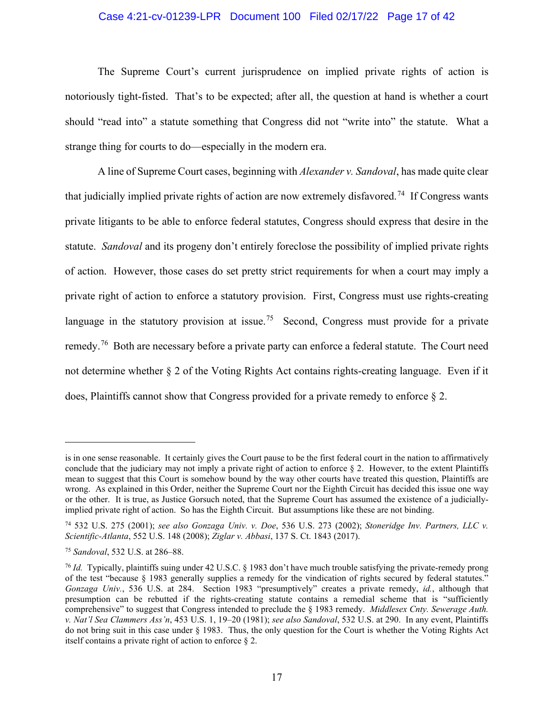## Case 4:21-cv-01239-LPR Document 100 Filed 02/17/22 Page 17 of 42

The Supreme Court's current jurisprudence on implied private rights of action is notoriously tight-fisted. That's to be expected; after all, the question at hand is whether a court should "read into" a statute something that Congress did not "write into" the statute. What a strange thing for courts to do—especially in the modern era.

A line of Supreme Court cases, beginning with *Alexander v. Sandoval*, has made quite clear that judicially implied private rights of action are now extremely disfavored.<sup>[74](#page-16-0)</sup> If Congress wants private litigants to be able to enforce federal statutes, Congress should express that desire in the statute. *Sandoval* and its progeny don't entirely foreclose the possibility of implied private rights of action. However, those cases do set pretty strict requirements for when a court may imply a private right of action to enforce a statutory provision. First, Congress must use rights-creating language in the statutory provision at issue.<sup>75</sup> Second, Congress must provide for a private remedy.<sup>76</sup> Both are necessary before a private party can enforce a federal statute. The Court need not determine whether § 2 of the Voting Rights Act contains rights-creating language. Even if it does, Plaintiffs cannot show that Congress provided for a private remedy to enforce § 2.

is in one sense reasonable. It certainly gives the Court pause to be the first federal court in the nation to affirmatively conclude that the judiciary may not imply a private right of action to enforce  $\S$  2. However, to the extent Plaintiffs mean to suggest that this Court is somehow bound by the way other courts have treated this question, Plaintiffs are wrong. As explained in this Order, neither the Supreme Court nor the Eighth Circuit has decided this issue one way or the other. It is true, as Justice Gorsuch noted, that the Supreme Court has assumed the existence of a judiciallyimplied private right of action. So has the Eighth Circuit. But assumptions like these are not binding.

<span id="page-16-0"></span><sup>74</sup> 532 U.S. 275 (2001); *see also Gonzaga Univ. v. Doe*, 536 U.S. 273 (2002); *Stoneridge Inv. Partners, LLC v. Scientific-Atlanta*, 552 U.S. 148 (2008); *Ziglar v. Abbasi*, 137 S. Ct. 1843 (2017).

<span id="page-16-1"></span><sup>75</sup> *Sandoval*, 532 U.S. at 286–88.

<span id="page-16-2"></span><sup>76</sup> *Id.* Typically, plaintiffs suing under 42 U.S.C. § 1983 don't have much trouble satisfying the private-remedy prong of the test "because § 1983 generally supplies a remedy for the vindication of rights secured by federal statutes." *Gonzaga Univ.*, 536 U.S. at 284. Section 1983 "presumptively" creates a private remedy, *id.*, although that presumption can be rebutted if the rights-creating statute contains a remedial scheme that is "sufficiently comprehensive" to suggest that Congress intended to preclude the § 1983 remedy. *Middlesex Cnty. Sewerage Auth. v. Nat'l Sea Clammers Ass'n*, 453 U.S. 1, 19–20 (1981); *see also Sandoval*, 532 U.S. at 290. In any event, Plaintiffs do not bring suit in this case under § 1983. Thus, the only question for the Court is whether the Voting Rights Act itself contains a private right of action to enforce § 2.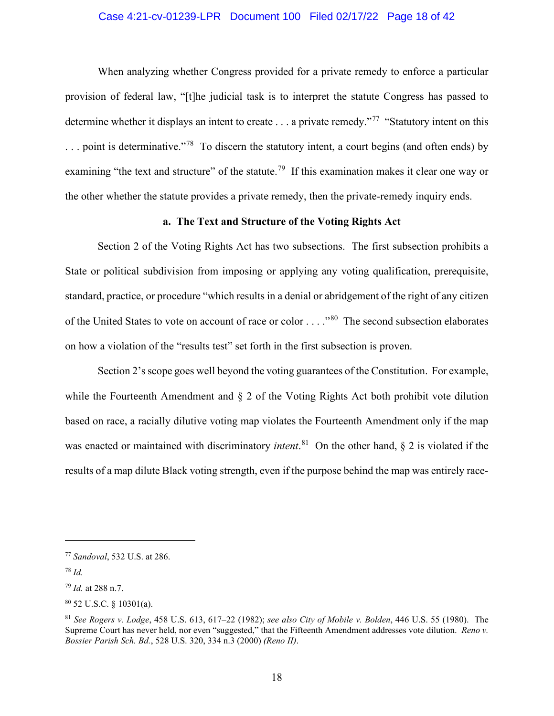## Case 4:21-cv-01239-LPR Document 100 Filed 02/17/22 Page 18 of 42

When analyzing whether Congress provided for a private remedy to enforce a particular provision of federal law, "[t]he judicial task is to interpret the statute Congress has passed to determine whether it displays an intent to create . . . a private remedy."<sup>77</sup> "Statutory intent on this  $\ldots$  point is determinative."<sup>[78](#page-17-1)</sup> To discern the statutory intent, a court begins (and often ends) by examining "the text and structure" of the statute.<sup>[79](#page-17-2)</sup> If this examination makes it clear one way or the other whether the statute provides a private remedy, then the private-remedy inquiry ends.

## **a. The Text and Structure of the Voting Rights Act**

Section 2 of the Voting Rights Act has two subsections. The first subsection prohibits a State or political subdivision from imposing or applying any voting qualification, prerequisite, standard, practice, or procedure "which results in a denial or abridgement of the right of any citizen of the United States to vote on account of race or color . . . ."[80](#page-17-3) The second subsection elaborates on how a violation of the "results test" set forth in the first subsection is proven.

Section 2's scope goes well beyond the voting guarantees of the Constitution. For example, while the Fourteenth Amendment and § 2 of the Voting Rights Act both prohibit vote dilution based on race, a racially dilutive voting map violates the Fourteenth Amendment only if the map was enacted or maintained with discriminatory *intent*. [81](#page-17-4) On the other hand, § 2 is violated if the results of a map dilute Black voting strength, even if the purpose behind the map was entirely race-

<span id="page-17-0"></span><sup>77</sup> *Sandoval*, 532 U.S. at 286.

<span id="page-17-1"></span><sup>78</sup> *Id.*

<span id="page-17-2"></span><sup>79</sup> *Id.* at 288 n.7.

<span id="page-17-3"></span><sup>80</sup> 52 U.S.C. § 10301(a).

<span id="page-17-4"></span><sup>81</sup> *See Rogers v. Lodge*, 458 U.S. 613, 617–22 (1982); *see also City of Mobile v. Bolden*, 446 U.S. 55 (1980). The Supreme Court has never held, nor even "suggested," that the Fifteenth Amendment addresses vote dilution. *Reno v. Bossier Parish Sch. Bd.*, 528 U.S. 320, 334 n.3 (2000) *(Reno II)*.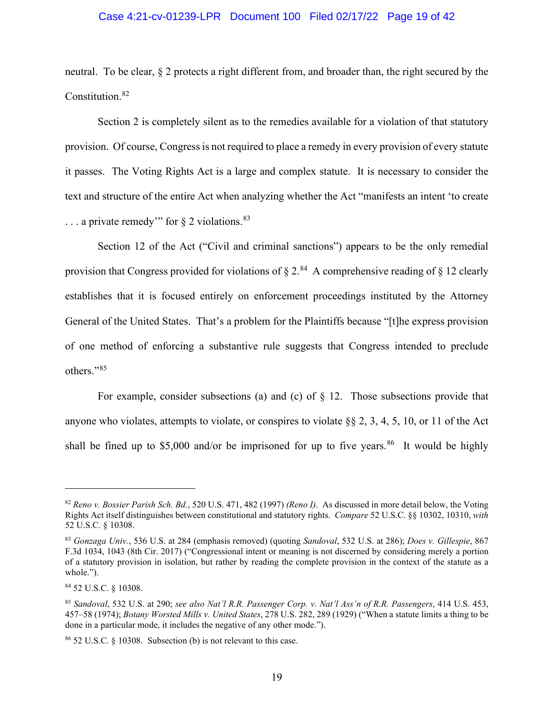#### Case 4:21-cv-01239-LPR Document 100 Filed 02/17/22 Page 19 of 42

neutral. To be clear, § 2 protects a right different from, and broader than, the right secured by the Constitution.[82](#page-18-0)

Section 2 is completely silent as to the remedies available for a violation of that statutory provision. Of course, Congress is not required to place a remedy in every provision of every statute it passes. The Voting Rights Act is a large and complex statute. It is necessary to consider the text and structure of the entire Act when analyzing whether the Act "manifests an intent 'to create  $\ldots$  a private remedy" for  $\S$  2 violations.  $83$ 

Section 12 of the Act ("Civil and criminal sanctions") appears to be the only remedial provision that Congress provided for violations of  $\S 2$ .<sup>84</sup> A comprehensive reading of  $\S 12$  clearly establishes that it is focused entirely on enforcement proceedings instituted by the Attorney General of the United States. That's a problem for the Plaintiffs because "[t]he express provision of one method of enforcing a substantive rule suggests that Congress intended to preclude others."<sup>[85](#page-18-3)</sup>

For example, consider subsections (a) and (c) of  $\S$  12. Those subsections provide that anyone who violates, attempts to violate, or conspires to violate §§ 2, 3, 4, 5, 10, or 11 of the Act shall be fined up to \$5,000 and/or be imprisoned for up to five years.<sup>[86](#page-18-4)</sup> It would be highly

<span id="page-18-0"></span><sup>82</sup> *Reno v. Bossier Parish Sch. Bd.*, 520 U.S. 471, 482 (1997) *(Reno I)*. As discussed in more detail below, the Voting Rights Act itself distinguishes between constitutional and statutory rights. *Compare* 52 U.S.C. §§ 10302, 10310, *with* 52 U.S.C. § 10308.

<span id="page-18-1"></span><sup>83</sup> *Gonzaga Univ.*, 536 U.S. at 284 (emphasis removed) (quoting *Sandoval*, 532 U.S. at 286); *Does v. Gillespie*, 867 F.3d 1034, 1043 (8th Cir. 2017) ("Congressional intent or meaning is not discerned by considering merely a portion of a statutory provision in isolation, but rather by reading the complete provision in the context of the statute as a whole.").

<span id="page-18-2"></span><sup>84</sup> 52 U.S.C. § 10308.

<span id="page-18-3"></span><sup>85</sup> *Sandoval*, 532 U.S. at 290; *see also Nat'l R.R. Passenger Corp. v. Nat'l Ass'n of R.R. Passengers*, 414 U.S. 453, 457–58 (1974); *Botany Worsted Mills v. United States*, 278 U.S. 282, 289 (1929) ("When a statute limits a thing to be done in a particular mode, it includes the negative of any other mode.").

<span id="page-18-4"></span><sup>86</sup> 52 U.S.C. § 10308. Subsection (b) is not relevant to this case.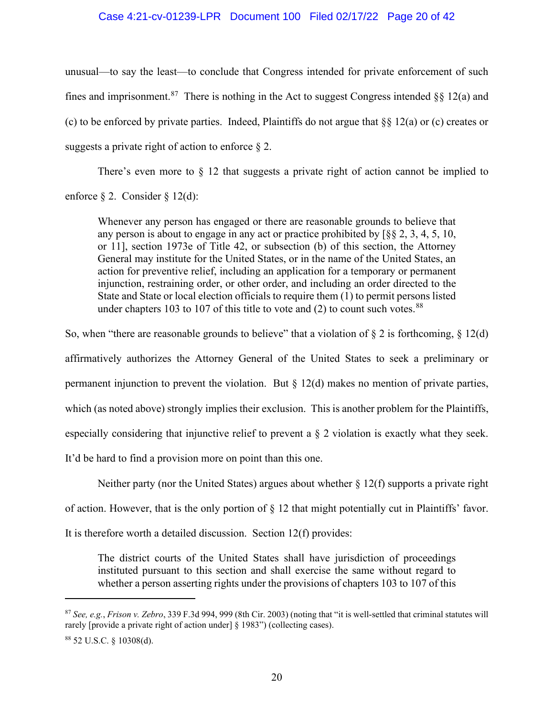## Case 4:21-cv-01239-LPR Document 100 Filed 02/17/22 Page 20 of 42

unusual—to say the least—to conclude that Congress intended for private enforcement of such fines and imprisonment.<sup>[87](#page-19-0)</sup> There is nothing in the Act to suggest Congress intended §§ 12(a) and (c) to be enforced by private parties. Indeed, Plaintiffs do not argue that §§ 12(a) or (c) creates or suggests a private right of action to enforce  $\S 2$ .

There's even more to  $\S$  12 that suggests a private right of action cannot be implied to enforce § 2. Consider § 12(d):

Whenever any person has engaged or there are reasonable grounds to believe that any person is about to engage in any act or practice prohibited by [§§ 2, 3, 4, 5, 10, or 11], section 1973e of Title 42, or subsection (b) of this section, the Attorney General may institute for the United States, or in the name of the United States, an action for preventive relief, including an application for a temporary or permanent injunction, restraining order, or other order, and including an order directed to the State and State or local election officials to require them (1) to permit persons listed under chapters 103 to 107 of this title to vote and  $(2)$  to count such votes.  $88$ 

So, when "there are reasonable grounds to believe" that a violation of  $\S 2$  is forthcoming,  $\S 12(d)$ affirmatively authorizes the Attorney General of the United States to seek a preliminary or permanent injunction to prevent the violation. But § 12(d) makes no mention of private parties, which (as noted above) strongly implies their exclusion. This is another problem for the Plaintiffs, especially considering that injunctive relief to prevent a § 2 violation is exactly what they seek. It'd be hard to find a provision more on point than this one.

Neither party (nor the United States) argues about whether  $\S 12(f)$  supports a private right

of action. However, that is the only portion of § 12 that might potentially cut in Plaintiffs' favor.

It is therefore worth a detailed discussion. Section 12(f) provides:

The district courts of the United States shall have jurisdiction of proceedings instituted pursuant to this section and shall exercise the same without regard to whether a person asserting rights under the provisions of chapters 103 to 107 of this

<span id="page-19-0"></span><sup>87</sup> *See, e.g.*, *Frison v. Zebro*, 339 F.3d 994, 999 (8th Cir. 2003) (noting that "it is well-settled that criminal statutes will rarely [provide a private right of action under] § 1983") (collecting cases).

<span id="page-19-1"></span><sup>88</sup> 52 U.S.C. § 10308(d).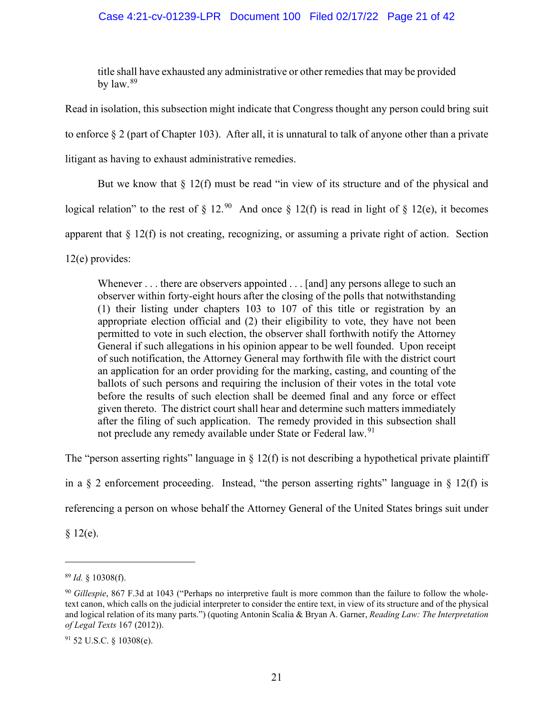## Case 4:21-cv-01239-LPR Document 100 Filed 02/17/22 Page 21 of 42

title shall have exhausted any administrative or other remedies that may be provided by  $\text{law.}^{89}$  $\text{law.}^{89}$  $\text{law.}^{89}$ 

Read in isolation, this subsection might indicate that Congress thought any person could bring suit to enforce § 2 (part of Chapter 103). After all, it is unnatural to talk of anyone other than a private litigant as having to exhaust administrative remedies.

But we know that  $\S$  12(f) must be read "in view of its structure and of the physical and

logical relation" to the rest of  $\S 12.90$  $\S 12.90$  And once  $\S 12(f)$  is read in light of  $\S 12(e)$ , it becomes

apparent that § 12(f) is not creating, recognizing, or assuming a private right of action. Section

12(e) provides:

Whenever . . . there are observers appointed . . . [and] any persons allege to such an observer within forty-eight hours after the closing of the polls that notwithstanding (1) their listing under chapters 103 to 107 of this title or registration by an appropriate election official and (2) their eligibility to vote, they have not been permitted to vote in such election, the observer shall forthwith notify the Attorney General if such allegations in his opinion appear to be well founded. Upon receipt of such notification, the Attorney General may forthwith file with the district court an application for an order providing for the marking, casting, and counting of the ballots of such persons and requiring the inclusion of their votes in the total vote before the results of such election shall be deemed final and any force or effect given thereto. The district court shall hear and determine such matters immediately after the filing of such application. The remedy provided in this subsection shall not preclude any remedy available under State or Federal law.<sup>[91](#page-20-2)</sup>

The "person asserting rights" language in  $\S$  12(f) is not describing a hypothetical private plaintiff

in a  $\S$  2 enforcement proceeding. Instead, "the person asserting rights" language in  $\S$  12(f) is

referencing a person on whose behalf the Attorney General of the United States brings suit under

 $§ 12(e).$ 

<span id="page-20-0"></span><sup>89</sup> *Id.* § 10308(f).

<span id="page-20-1"></span><sup>90</sup> *Gillespie*, 867 F.3d at 1043 ("Perhaps no interpretive fault is more common than the failure to follow the wholetext canon, which calls on the judicial interpreter to consider the entire text, in view of its structure and of the physical and logical relation of its many parts.") (quoting Antonin Scalia & Bryan A. Garner, *Reading Law: The Interpretation of Legal Texts* 167 (2012)).

<span id="page-20-2"></span><sup>91</sup> 52 U.S.C. § 10308(e).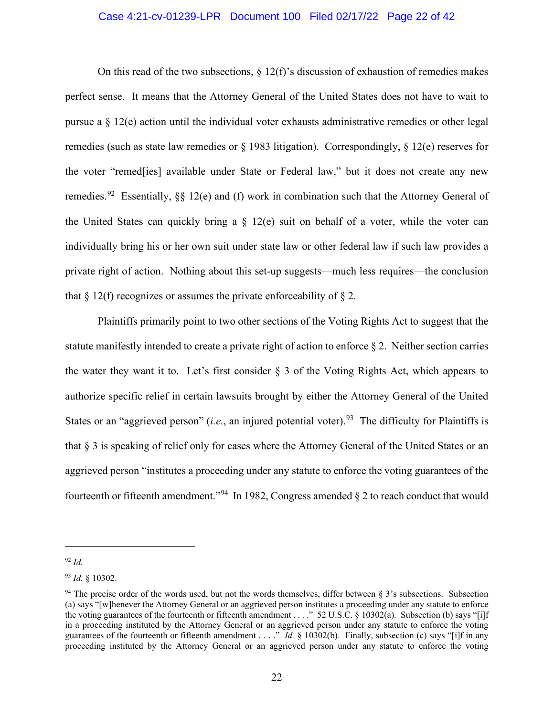## Case 4:21-cv-01239-LPR Document 100 Filed 02/17/22 Page 22 of 42

On this read of the two subsections,  $\S 12(f)$ 's discussion of exhaustion of remedies makes perfect sense. It means that the Attorney General of the United States does not have to wait to pursue a  $\S$  12(e) action until the individual voter exhausts administrative remedies or other legal remedies (such as state law remedies or § 1983 litigation). Correspondingly, § 12(e) reserves for the voter "remed[ies] available under State or Federal law," but it does not create any new remedies.<sup>92</sup> Essentially, §§ 12(e) and (f) work in combination such that the Attorney General of the United States can quickly bring a  $\S$  12(e) suit on behalf of a voter, while the voter can individually bring his or her own suit under state law or other federal law if such law provides a private right of action. Nothing about this set-up suggests—much less requires—the conclusion that  $\S 12(f)$  recognizes or assumes the private enforceability of  $\S 2$ .

Plaintiffs primarily point to two other sections of the Voting Rights Act to suggest that the statute manifestly intended to create a private right of action to enforce  $\S$  2. Neither section carries the water they want it to. Let's first consider § 3 of the Voting Rights Act, which appears to authorize specific relief in certain lawsuits brought by either the Attorney General of the United States or an "aggrieved person" (*i.e.*, an injured potential voter).<sup>[93](#page-21-1)</sup> The difficulty for Plaintiffs is that § 3 is speaking of relief only for cases where the Attorney General of the United States or an aggrieved person "institutes a proceeding under any statute to enforce the voting guarantees of the fourteenth or fifteenth amendment."<sup>[94](#page-21-2)</sup> In 1982, Congress amended  $\S$  2 to reach conduct that would

<span id="page-21-0"></span><sup>92</sup> *Id.*

<span id="page-21-1"></span><sup>93</sup> *Id.* § 10302.

<span id="page-21-2"></span><sup>&</sup>lt;sup>94</sup> The precise order of the words used, but not the words themselves, differ between  $\S$  3's subsections. Subsection (a) says "[w]henever the Attorney General or an aggrieved person institutes a proceeding under any statute to enforce the voting guarantees of the fourteenth or fifteenth amendment . . . ." 52 U.S.C. § 10302(a). Subsection (b) says "[i]f in a proceeding instituted by the Attorney General or an aggrieved person under any statute to enforce the voting guarantees of the fourteenth or fifteenth amendment . . . ." *Id.* § 10302(b). Finally, subsection (c) says "[i]f in any proceeding instituted by the Attorney General or an aggrieved person under any statute to enforce the voting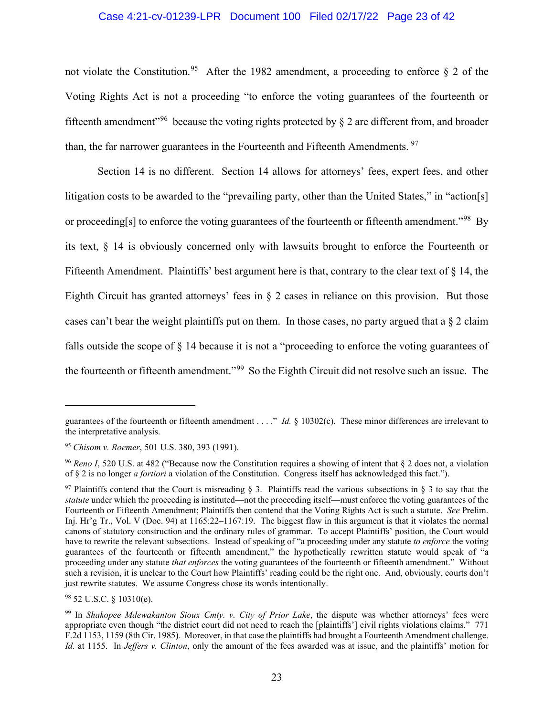## Case 4:21-cv-01239-LPR Document 100 Filed 02/17/22 Page 23 of 42

not violate the Constitution.<sup>[95](#page-22-0)</sup> After the 1982 amendment, a proceeding to enforce  $\S$  2 of the Voting Rights Act is not a proceeding "to enforce the voting guarantees of the fourteenth or fifteenth amendment<sup>"[96](#page-22-1)</sup> because the voting rights protected by  $\delta$  2 are different from, and broader than, the far narrower guarantees in the Fourteenth and Fifteenth Amendments.<sup>97</sup>

Section 14 is no different. Section 14 allows for attorneys' fees, expert fees, and other litigation costs to be awarded to the "prevailing party, other than the United States," in "action[s] or proceeding[s] to enforce the voting guarantees of the fourteenth or fifteenth amendment."<sup>98</sup> By its text, § 14 is obviously concerned only with lawsuits brought to enforce the Fourteenth or Fifteenth Amendment. Plaintiffs' best argument here is that, contrary to the clear text of § 14, the Eighth Circuit has granted attorneys' fees in § 2 cases in reliance on this provision. But those cases can't bear the weight plaintiffs put on them. In those cases, no party argued that a  $\S$  2 claim falls outside the scope of § 14 because it is not a "proceeding to enforce the voting guarantees of the fourteenth or fifteenth amendment."[99](#page-22-4) So the Eighth Circuit did not resolve such an issue. The

guarantees of the fourteenth or fifteenth amendment . . . ." *Id.* § 10302(c). These minor differences are irrelevant to the interpretative analysis.

<span id="page-22-0"></span><sup>95</sup> *Chisom v. Roemer*, 501 U.S. 380, 393 (1991).

<span id="page-22-1"></span><sup>96</sup> *Reno I*, 520 U.S. at 482 ("Because now the Constitution requires a showing of intent that § 2 does not, a violation of § 2 is no longer *a fortiori* a violation of the Constitution. Congress itself has acknowledged this fact.").

<span id="page-22-2"></span><sup>&</sup>lt;sup>97</sup> Plaintiffs contend that the Court is misreading § 3. Plaintiffs read the various subsections in § 3 to sav that the *statute* under which the proceeding is instituted—not the proceeding itself—must enforce the voting guarantees of the Fourteenth or Fifteenth Amendment; Plaintiffs then contend that the Voting Rights Act is such a statute. *See* Prelim. Inj. Hr'g Tr., Vol. V (Doc. 94) at 1165:22–1167:19. The biggest flaw in this argument is that it violates the normal canons of statutory construction and the ordinary rules of grammar. To accept Plaintiffs' position, the Court would have to rewrite the relevant subsections. Instead of speaking of "a proceeding under any statute *to enforce* the voting guarantees of the fourteenth or fifteenth amendment," the hypothetically rewritten statute would speak of "a proceeding under any statute *that enforces* the voting guarantees of the fourteenth or fifteenth amendment." Without such a revision, it is unclear to the Court how Plaintiffs' reading could be the right one. And, obviously, courts don't just rewrite statutes. We assume Congress chose its words intentionally.

<span id="page-22-3"></span> $98$  52 U.S.C. § 10310(e).

<span id="page-22-4"></span><sup>99</sup> In *Shakopee Mdewakanton Sioux Cmty. v. City of Prior Lake*, the dispute was whether attorneys' fees were appropriate even though "the district court did not need to reach the [plaintiffs'] civil rights violations claims." 771 F.2d 1153, 1159 (8th Cir. 1985). Moreover, in that case the plaintiffs had brought a Fourteenth Amendment challenge. *Id.* at 1155. In *Jeffers v. Clinton*, only the amount of the fees awarded was at issue, and the plaintiffs' motion for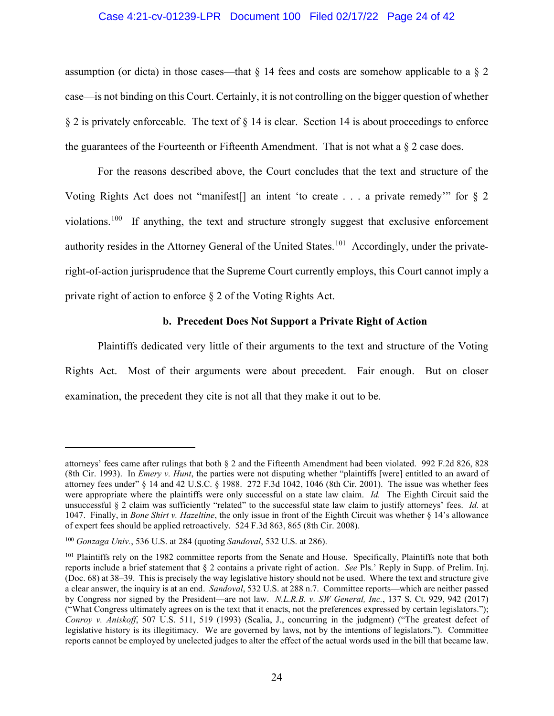### Case 4:21-cv-01239-LPR Document 100 Filed 02/17/22 Page 24 of 42

assumption (or dicta) in those cases—that  $\S$  14 fees and costs are somehow applicable to a  $\S$  2 case—is not binding on this Court. Certainly, it is not controlling on the bigger question of whether  $§$  2 is privately enforceable. The text of  $§$  14 is clear. Section 14 is about proceedings to enforce the guarantees of the Fourteenth or Fifteenth Amendment. That is not what a  $\S$  2 case does.

For the reasons described above, the Court concludes that the text and structure of the Voting Rights Act does not "manifest[] an intent 'to create . . . a private remedy'" for § 2 violations.<sup>[100](#page-23-0)</sup> If anything, the text and structure strongly suggest that exclusive enforcement authority resides in the Attorney General of the United States.<sup>101</sup> Accordingly, under the privateright-of-action jurisprudence that the Supreme Court currently employs, this Court cannot imply a private right of action to enforce § 2 of the Voting Rights Act.

#### **b. Precedent Does Not Support a Private Right of Action**

Plaintiffs dedicated very little of their arguments to the text and structure of the Voting Rights Act. Most of their arguments were about precedent. Fair enough. But on closer examination, the precedent they cite is not all that they make it out to be.

attorneys' fees came after rulings that both § 2 and the Fifteenth Amendment had been violated. 992 F.2d 826, 828 (8th Cir. 1993). In *Emery v. Hunt*, the parties were not disputing whether "plaintiffs [were] entitled to an award of attorney fees under" § 14 and 42 U.S.C. § 1988. 272 F.3d 1042, 1046 (8th Cir. 2001). The issue was whether fees were appropriate where the plaintiffs were only successful on a state law claim. *Id.* The Eighth Circuit said the unsuccessful § 2 claim was sufficiently "related" to the successful state law claim to justify attorneys' fees. *Id.* at 1047. Finally, in *Bone Shirt v. Hazeltine*, the only issue in front of the Eighth Circuit was whether § 14's allowance of expert fees should be applied retroactively. 524 F.3d 863, 865 (8th Cir. 2008).

<span id="page-23-0"></span><sup>100</sup> *Gonzaga Univ.*, 536 U.S. at 284 (quoting *Sandoval*, 532 U.S. at 286).

<span id="page-23-1"></span><sup>&</sup>lt;sup>101</sup> Plaintiffs rely on the 1982 committee reports from the Senate and House. Specifically, Plaintiffs note that both reports include a brief statement that § 2 contains a private right of action. *See* Pls.' Reply in Supp. of Prelim. Inj. (Doc. 68) at 38–39. This is precisely the way legislative history should not be used. Where the text and structure give a clear answer, the inquiry is at an end. *Sandoval*, 532 U.S. at 288 n.7. Committee reports—which are neither passed by Congress nor signed by the President—are not law. *N.L.R.B. v. SW General, Inc.*, 137 S. Ct. 929, 942 (2017) ("What Congress ultimately agrees on is the text that it enacts, not the preferences expressed by certain legislators."); *Conroy v. Aniskoff*, 507 U.S. 511, 519 (1993) (Scalia, J., concurring in the judgment) ("The greatest defect of legislative history is its illegitimacy. We are governed by laws, not by the intentions of legislators."). Committee reports cannot be employed by unelected judges to alter the effect of the actual words used in the bill that became law.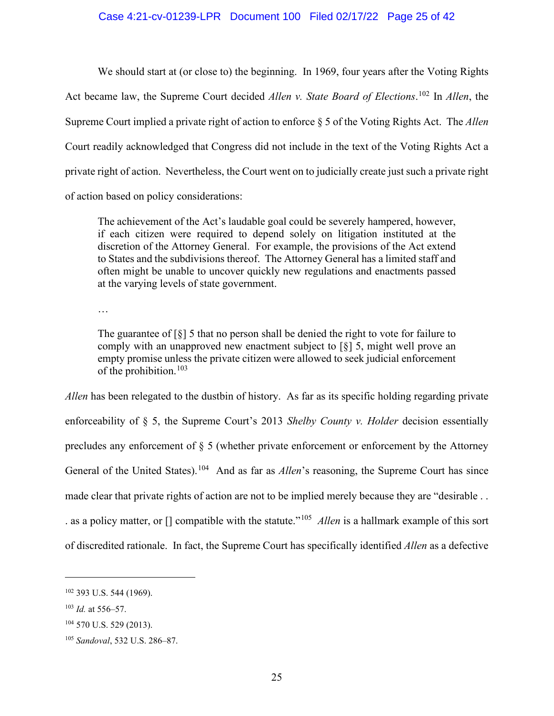## Case 4:21-cv-01239-LPR Document 100 Filed 02/17/22 Page 25 of 42

We should start at (or close to) the beginning. In 1969, four years after the Voting Rights Act became law, the Supreme Court decided *Allen v. State Board of Elections*. [102](#page-24-0) In *Allen*, the Supreme Court implied a private right of action to enforce § 5 of the Voting Rights Act. The *Allen*  Court readily acknowledged that Congress did not include in the text of the Voting Rights Act a private right of action. Nevertheless, the Court went on to judicially create just such a private right of action based on policy considerations:

The achievement of the Act's laudable goal could be severely hampered, however, if each citizen were required to depend solely on litigation instituted at the discretion of the Attorney General. For example, the provisions of the Act extend to States and the subdivisions thereof. The Attorney General has a limited staff and often might be unable to uncover quickly new regulations and enactments passed at the varying levels of state government.

…

The guarantee of [§] 5 that no person shall be denied the right to vote for failure to comply with an unapproved new enactment subject to [§] 5, might well prove an empty promise unless the private citizen were allowed to seek judicial enforcement of the prohibition.<sup>103</sup>

*Allen* has been relegated to the dustbin of history. As far as its specific holding regarding private enforceability of § 5, the Supreme Court's 2013 *Shelby County v. Holder* decision essentially precludes any enforcement of § 5 (whether private enforcement or enforcement by the Attorney General of the United States).<sup>[104](#page-24-2)</sup> And as far as *Allen*'s reasoning, the Supreme Court has since made clear that private rights of action are not to be implied merely because they are "desirable . . . as a policy matter, or [] compatible with the statute."[105](#page-24-3) *Allen* is a hallmark example of this sort of discredited rationale. In fact, the Supreme Court has specifically identified *Allen* as a defective

<span id="page-24-0"></span><sup>102</sup> 393 U.S. 544 (1969).

<span id="page-24-1"></span><sup>103</sup> *Id.* at 556–57.

<span id="page-24-2"></span> $104$  570 U.S. 529 (2013).

<span id="page-24-3"></span><sup>105</sup> *Sandoval*, 532 U.S. 286–87.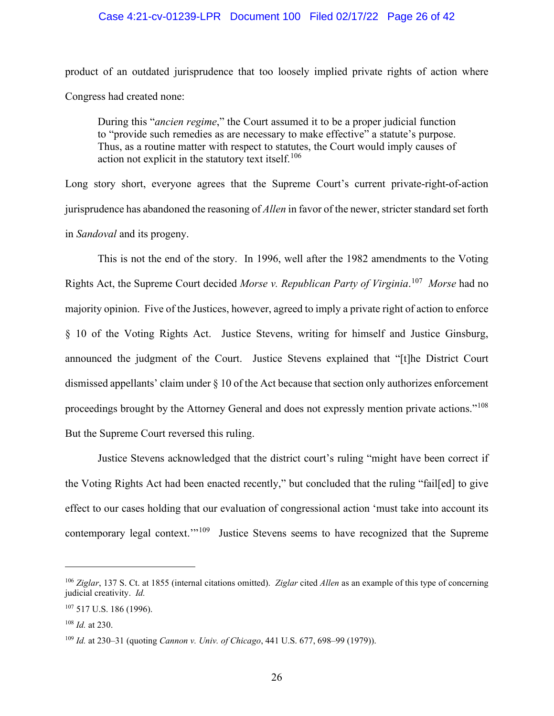#### Case 4:21-cv-01239-LPR Document 100 Filed 02/17/22 Page 26 of 42

product of an outdated jurisprudence that too loosely implied private rights of action where Congress had created none:

During this "*ancien regime*," the Court assumed it to be a proper judicial function to "provide such remedies as are necessary to make effective" a statute's purpose. Thus, as a routine matter with respect to statutes, the Court would imply causes of action not explicit in the statutory text itself.<sup>[106](#page-25-0)</sup>

Long story short, everyone agrees that the Supreme Court's current private-right-of-action jurisprudence has abandoned the reasoning of *Allen* in favor of the newer, stricter standard set forth in *Sandoval* and its progeny.

This is not the end of the story. In 1996, well after the 1982 amendments to the Voting Rights Act, the Supreme Court decided *Morse v. Republican Party of Virginia*. [107](#page-25-1) *Morse* had no majority opinion. Five of the Justices, however, agreed to imply a private right of action to enforce § 10 of the Voting Rights Act. Justice Stevens, writing for himself and Justice Ginsburg, announced the judgment of the Court. Justice Stevens explained that "[t]he District Court dismissed appellants' claim under § 10 of the Act because that section only authorizes enforcement proceedings brought by the Attorney General and does not expressly mention private actions."[108](#page-25-2) But the Supreme Court reversed this ruling.

Justice Stevens acknowledged that the district court's ruling "might have been correct if the Voting Rights Act had been enacted recently," but concluded that the ruling "fail[ed] to give effect to our cases holding that our evaluation of congressional action 'must take into account its contemporary legal context."<sup>[109](#page-25-3)</sup> Justice Stevens seems to have recognized that the Supreme

<span id="page-25-0"></span><sup>106</sup> *Ziglar*, 137 S. Ct. at 1855 (internal citations omitted). *Ziglar* cited *Allen* as an example of this type of concerning judicial creativity. *Id.*

<span id="page-25-1"></span><sup>107</sup> 517 U.S. 186 (1996).

<span id="page-25-2"></span><sup>108</sup> *Id.* at 230.

<span id="page-25-3"></span><sup>109</sup> *Id.* at 230–31 (quoting *Cannon v. Univ. of Chicago*, 441 U.S. 677, 698–99 (1979)).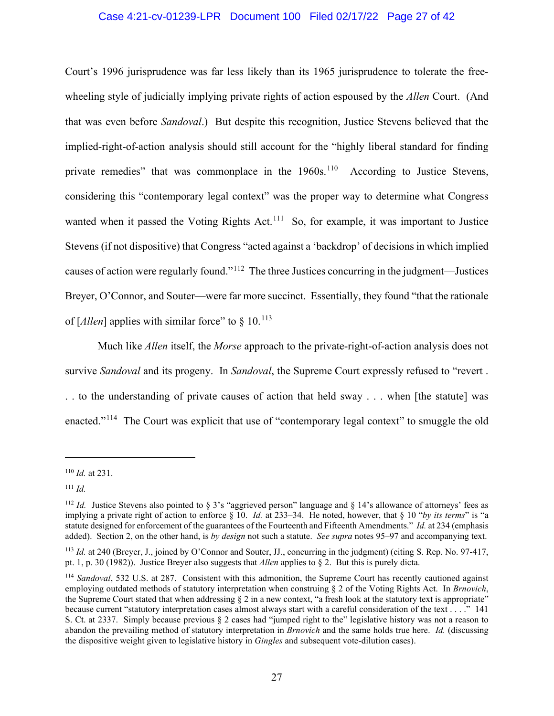## Case 4:21-cv-01239-LPR Document 100 Filed 02/17/22 Page 27 of 42

Court's 1996 jurisprudence was far less likely than its 1965 jurisprudence to tolerate the freewheeling style of judicially implying private rights of action espoused by the *Allen* Court. (And that was even before *Sandoval*.) But despite this recognition, Justice Stevens believed that the implied-right-of-action analysis should still account for the "highly liberal standard for finding private remedies" that was commonplace in the 1960s.<sup>110</sup> According to Justice Stevens, considering this "contemporary legal context" was the proper way to determine what Congress wanted when it passed the Voting Rights Act.<sup>[111](#page-26-1)</sup> So, for example, it was important to Justice Stevens (if not dispositive) that Congress "acted against a 'backdrop' of decisions in which implied causes of action were regularly found."[112](#page-26-2) The three Justices concurring in the judgment—Justices Breyer, O'Connor, and Souter—were far more succinct. Essentially, they found "that the rationale of  $\left[$ *Allen* $\right]$  applies with similar force" to  $\frac{8}{9}$  10.<sup>[113](#page-26-3)</sup>

Much like *Allen* itself, the *Morse* approach to the private-right-of-action analysis does not survive *Sandoval* and its progeny. In *Sandoval*, the Supreme Court expressly refused to "revert . . . to the understanding of private causes of action that held sway . . . when [the statute] was enacted."<sup>114</sup> The Court was explicit that use of "contemporary legal context" to smuggle the old

<span id="page-26-0"></span><sup>110</sup> *Id.* at 231.

<span id="page-26-1"></span><sup>111</sup> *Id.*

<span id="page-26-2"></span><sup>&</sup>lt;sup>112</sup> *Id.* Justice Stevens also pointed to § 3's "aggrieved person" language and § 14's allowance of attorneys' fees as implying a private right of action to enforce § 10. *Id.* at 233–34. He noted, however, that § 10 "*by its terms*" is "a statute designed for enforcement of the guarantees of the Fourteenth and Fifteenth Amendments." *Id.* at 234 (emphasis added). Section 2, on the other hand, is *by design* not such a statute. *See supra* notes 95–97 and accompanying text.

<span id="page-26-3"></span><sup>&</sup>lt;sup>113</sup> *Id.* at 240 (Breyer, J., joined by O'Connor and Souter, JJ., concurring in the judgment) (citing S. Rep. No. 97-417, pt. 1, p. 30 (1982)). Justice Breyer also suggests that *Allen* applies to § 2. But this is purely dicta.

<span id="page-26-4"></span><sup>114</sup> *Sandoval*, 532 U.S. at 287. Consistent with this admonition, the Supreme Court has recently cautioned against employing outdated methods of statutory interpretation when construing § 2 of the Voting Rights Act. In *Brnovich*, the Supreme Court stated that when addressing § 2 in a new context, "a fresh look at the statutory text is appropriate" because current "statutory interpretation cases almost always start with a careful consideration of the text . . . ." 141 S. Ct. at 2337. Simply because previous § 2 cases had "jumped right to the" legislative history was not a reason to abandon the prevailing method of statutory interpretation in *Brnovich* and the same holds true here. *Id.* (discussing the dispositive weight given to legislative history in *Gingles* and subsequent vote-dilution cases).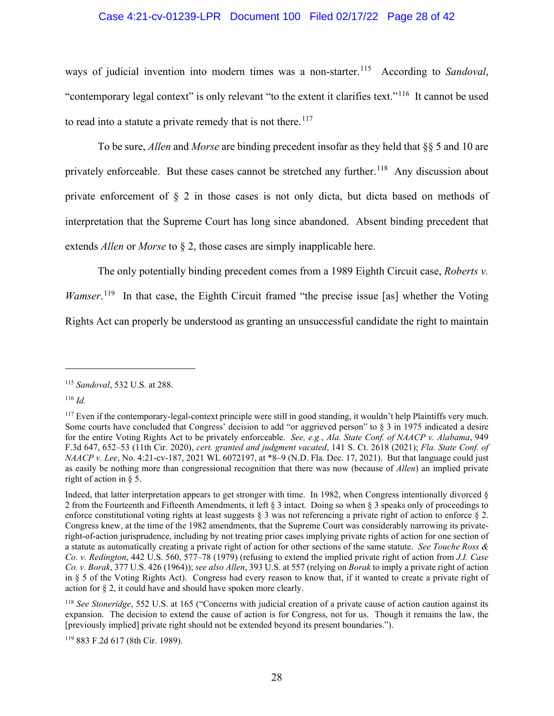# Case 4:21-cv-01239-LPR Document 100 Filed 02/17/22 Page 28 of 42

ways of judicial invention into modern times was a non-starter.<sup>115</sup> According to *Sandoval*, "contemporary legal context" is only relevant "to the extent it clarifies text."<sup>116</sup> It cannot be used to read into a statute a private remedy that is not there.<sup>117</sup>

To be sure, *Allen* and *Morse* are binding precedent insofar as they held that §§ 5 and 10 are privately enforceable. But these cases cannot be stretched any further.<sup>118</sup> Any discussion about private enforcement of § 2 in those cases is not only dicta, but dicta based on methods of interpretation that the Supreme Court has long since abandoned. Absent binding precedent that extends *Allen* or *Morse* to § 2, those cases are simply inapplicable here.

The only potentially binding precedent comes from a 1989 Eighth Circuit case, *Roberts v. Wamser*.<sup>[119](#page-27-4)</sup> In that case, the Eighth Circuit framed "the precise issue [as] whether the Voting

Rights Act can properly be understood as granting an unsuccessful candidate the right to maintain

<span id="page-27-0"></span><sup>115</sup> *Sandoval*, 532 U.S. at 288.

<span id="page-27-1"></span><sup>116</sup> *Id.*

<span id="page-27-2"></span> $117$  Even if the contemporary-legal-context principle were still in good standing, it wouldn't help Plaintiffs very much. Some courts have concluded that Congress' decision to add "or aggrieved person" to  $\S$  3 in 1975 indicated a desire for the entire Voting Rights Act to be privately enforceable. *See, e.g.*, *Ala. State Conf. of NAACP v. Alabama*, 949 F.3d 647, 652–53 (11th Cir. 2020), *cert. granted and judgment vacated*, 141 S. Ct. 2618 (2021); *Fla. State Conf. of NAACP v. Lee*, No. 4:21-cv-187, 2021 WL 6072197, at \*8–9 (N.D. Fla. Dec. 17, 2021). But that language could just as easily be nothing more than congressional recognition that there was now (because of *Allen*) an implied private right of action in § 5.

Indeed, that latter interpretation appears to get stronger with time. In 1982, when Congress intentionally divorced § 2 from the Fourteenth and Fifteenth Amendments, it left § 3 intact. Doing so when § 3 speaks only of proceedings to enforce constitutional voting rights at least suggests  $\S$  3 was not referencing a private right of action to enforce  $\S$  2. Congress knew, at the time of the 1982 amendments, that the Supreme Court was considerably narrowing its privateright-of-action jurisprudence, including by not treating prior cases implying private rights of action for one section of a statute as automatically creating a private right of action for other sections of the same statute. *See Touche Ross & Co. v. Redington*, 442 U.S. 560, 577–78 (1979) (refusing to extend the implied private right of action from *J.I. Case Co. v. Borak*, 377 U.S. 426 (1964)); *see also Allen*, 393 U.S. at 557 (relying on *Borak* to imply a private right of action in § 5 of the Voting Rights Act). Congress had every reason to know that, if it wanted to create a private right of action for § 2, it could have and should have spoken more clearly.

<span id="page-27-3"></span><sup>118</sup> *See Stoneridge*, 552 U.S. at 165 ("Concerns with judicial creation of a private cause of action caution against its expansion. The decision to extend the cause of action is for Congress, not for us. Though it remains the law, the [previously implied] private right should not be extended beyond its present boundaries.").

<span id="page-27-4"></span><sup>119</sup> 883 F.2d 617 (8th Cir. 1989).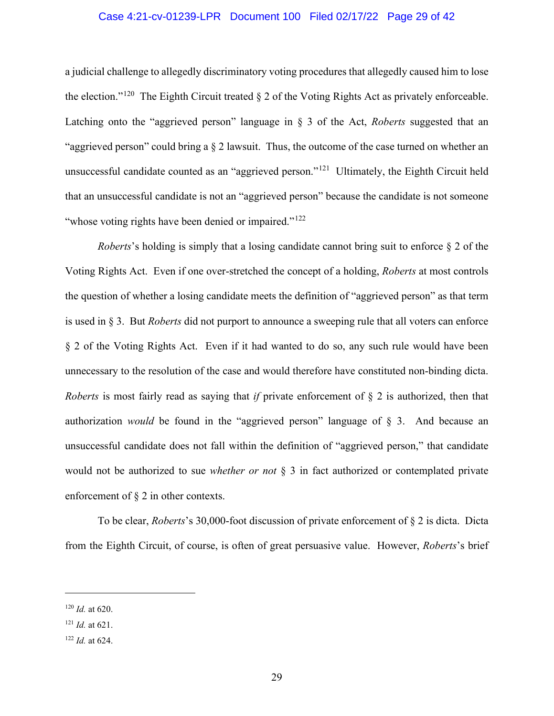## Case 4:21-cv-01239-LPR Document 100 Filed 02/17/22 Page 29 of 42

a judicial challenge to allegedly discriminatory voting procedures that allegedly caused him to lose the election."<sup>120</sup> The Eighth Circuit treated  $\S 2$  of the Voting Rights Act as privately enforceable. Latching onto the "aggrieved person" language in § 3 of the Act, *Roberts* suggested that an "aggrieved person" could bring a § 2 lawsuit. Thus, the outcome of the case turned on whether an unsuccessful candidate counted as an "aggrieved person."[121](#page-28-1) Ultimately, the Eighth Circuit held that an unsuccessful candidate is not an "aggrieved person" because the candidate is not someone "whose voting rights have been denied or impaired."<sup>[122](#page-28-2)</sup>

*Roberts*'s holding is simply that a losing candidate cannot bring suit to enforce § 2 of the Voting Rights Act. Even if one over-stretched the concept of a holding, *Roberts* at most controls the question of whether a losing candidate meets the definition of "aggrieved person" as that term is used in § 3. But *Roberts* did not purport to announce a sweeping rule that all voters can enforce § 2 of the Voting Rights Act. Even if it had wanted to do so, any such rule would have been unnecessary to the resolution of the case and would therefore have constituted non-binding dicta. *Roberts* is most fairly read as saying that *if* private enforcement of § 2 is authorized, then that authorization *would* be found in the "aggrieved person" language of § 3. And because an unsuccessful candidate does not fall within the definition of "aggrieved person," that candidate would not be authorized to sue *whether or not* § 3 in fact authorized or contemplated private enforcement of § 2 in other contexts.

To be clear, *Roberts*'s 30,000-foot discussion of private enforcement of § 2 is dicta. Dicta from the Eighth Circuit, of course, is often of great persuasive value. However, *Roberts*'s brief

<span id="page-28-0"></span><sup>120</sup> *Id.* at 620.

<span id="page-28-1"></span><sup>121</sup> *Id.* at 621.

<span id="page-28-2"></span><sup>122</sup> *Id.* at 624.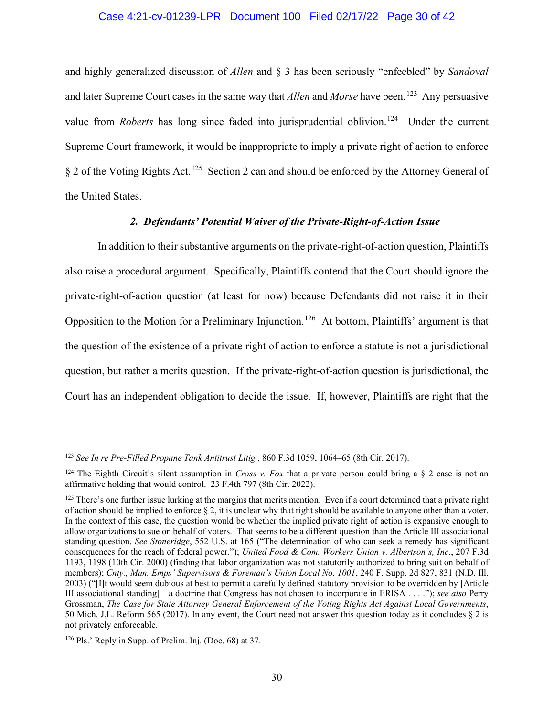### Case 4:21-cv-01239-LPR Document 100 Filed 02/17/22 Page 30 of 42

and highly generalized discussion of *Allen* and § 3 has been seriously "enfeebled" by *Sandoval* and later Supreme Court cases in the same way that *Allen* and *Morse* have been.<sup>123</sup> Any persuasive value from *Roberts* has long since faded into jurisprudential oblivion.<sup>[124](#page-29-1)</sup> Under the current Supreme Court framework, it would be inappropriate to imply a private right of action to enforce § 2 of the Voting Rights Act.[125](#page-29-2) Section 2 can and should be enforced by the Attorney General of the United States.

# *2. Defendants' Potential Waiver of the Private-Right-of-Action Issue*

In addition to their substantive arguments on the private-right-of-action question, Plaintiffs also raise a procedural argument. Specifically, Plaintiffs contend that the Court should ignore the private-right-of-action question (at least for now) because Defendants did not raise it in their Opposition to the Motion for a Preliminary Injunction.[126](#page-29-3) At bottom, Plaintiffs' argument is that the question of the existence of a private right of action to enforce a statute is not a jurisdictional question, but rather a merits question. If the private-right-of-action question is jurisdictional, the Court has an independent obligation to decide the issue. If, however, Plaintiffs are right that the

<span id="page-29-0"></span><sup>123</sup> *See In re Pre-Filled Propane Tank Antitrust Litig.*, 860 F.3d 1059, 1064–65 (8th Cir. 2017).

<span id="page-29-1"></span><sup>&</sup>lt;sup>124</sup> The Eighth Circuit's silent assumption in *Cross v. Fox* that a private person could bring a  $\S$  2 case is not an affirmative holding that would control. 23 F.4th 797 (8th Cir. 2022).

<span id="page-29-2"></span> $125$  There's one further issue lurking at the margins that merits mention. Even if a court determined that a private right of action should be implied to enforce § 2, it is unclear why that right should be available to anyone other than a voter. In the context of this case, the question would be whether the implied private right of action is expansive enough to allow organizations to sue on behalf of voters. That seems to be a different question than the Article III associational standing question. *See Stoneridge*, 552 U.S. at 165 ("The determination of who can seek a remedy has significant consequences for the reach of federal power."); *United Food & Com. Workers Union v. Albertson's, Inc.*, 207 F.3d 1193, 1198 (10th Cir. 2000) (finding that labor organization was not statutorily authorized to bring suit on behalf of members); *Cnty., Mun. Emps' Supervisors & Foreman's Union Local No. 1001*, 240 F. Supp. 2d 827, 831 (N.D. Ill. 2003) ("[I]t would seem dubious at best to permit a carefully defined statutory provision to be overridden by [Article III associational standing]—a doctrine that Congress has not chosen to incorporate in ERISA . . . ."); *see also* Perry Grossman, *The Case for State Attorney General Enforcement of the Voting Rights Act Against Local Governments*, 50 Mich. J.L. Reform 565 (2017). In any event, the Court need not answer this question today as it concludes § 2 is not privately enforceable.

<span id="page-29-3"></span><sup>126</sup> Pls.' Reply in Supp. of Prelim. Inj. (Doc. 68) at 37.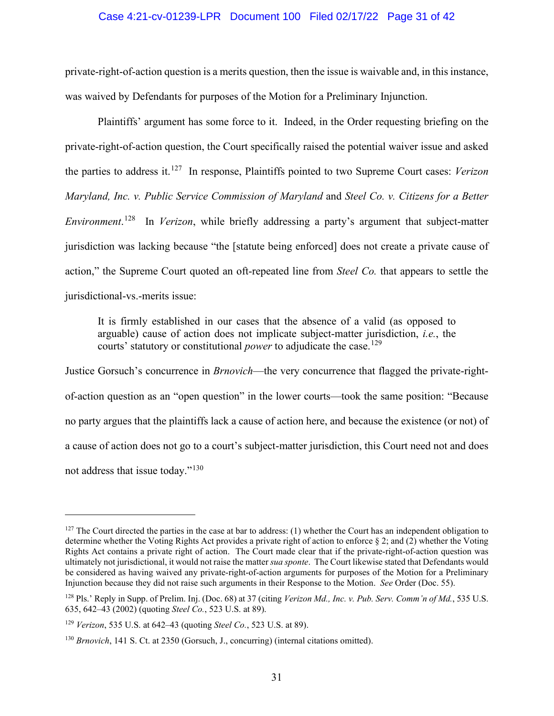#### Case 4:21-cv-01239-LPR Document 100 Filed 02/17/22 Page 31 of 42

private-right-of-action question is a merits question, then the issue is waivable and, in this instance, was waived by Defendants for purposes of the Motion for a Preliminary Injunction.

Plaintiffs' argument has some force to it. Indeed, in the Order requesting briefing on the private-right-of-action question, the Court specifically raised the potential waiver issue and asked the parties to address it.[127](#page-30-0) In response, Plaintiffs pointed to two Supreme Court cases: *Verizon Maryland, Inc. v. Public Service Commission of Maryland* and *Steel Co. v. Citizens for a Better Environment*. [128](#page-30-1) In *Verizon*, while briefly addressing a party's argument that subject-matter jurisdiction was lacking because "the [statute being enforced] does not create a private cause of action," the Supreme Court quoted an oft-repeated line from *Steel Co.* that appears to settle the jurisdictional-vs.-merits issue:

It is firmly established in our cases that the absence of a valid (as opposed to arguable) cause of action does not implicate subject-matter jurisdiction, *i.e.*, the courts' statutory or constitutional *power* to adjudicate the case.<sup>[129](#page-30-2)</sup>

Justice Gorsuch's concurrence in *Brnovich*—the very concurrence that flagged the private-rightof-action question as an "open question" in the lower courts—took the same position: "Because no party argues that the plaintiffs lack a cause of action here, and because the existence (or not) of a cause of action does not go to a court's subject-matter jurisdiction, this Court need not and does not address that issue today."<sup>[130](#page-30-3)</sup>

<span id="page-30-0"></span> $127$  The Court directed the parties in the case at bar to address: (1) whether the Court has an independent obligation to determine whether the Voting Rights Act provides a private right of action to enforce § 2; and (2) whether the Voting Rights Act contains a private right of action. The Court made clear that if the private-right-of-action question was ultimately not jurisdictional, it would not raise the matter *sua sponte*. The Court likewise stated that Defendants would be considered as having waived any private-right-of-action arguments for purposes of the Motion for a Preliminary Injunction because they did not raise such arguments in their Response to the Motion. *See* Order (Doc. 55).

<span id="page-30-1"></span><sup>128</sup> Pls.' Reply in Supp. of Prelim. Inj. (Doc. 68) at 37 (citing *Verizon Md., Inc. v. Pub. Serv. Comm'n of Md.*, 535 U.S. 635, 642–43 (2002) (quoting *Steel Co.*, 523 U.S. at 89).

<span id="page-30-2"></span><sup>129</sup> *Verizon*, 535 U.S. at 642–43 (quoting *Steel Co.*, 523 U.S. at 89).

<span id="page-30-3"></span><sup>130</sup> *Brnovich*, 141 S. Ct. at 2350 (Gorsuch, J., concurring) (internal citations omitted).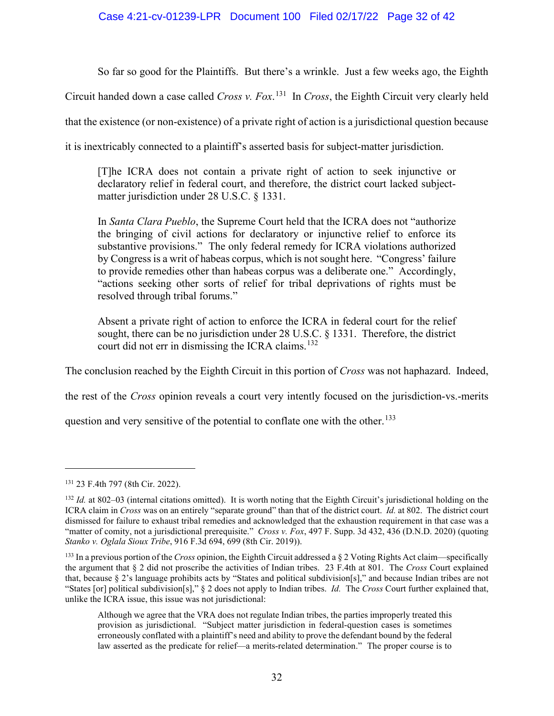# Case 4:21-cv-01239-LPR Document 100 Filed 02/17/22 Page 32 of 42

So far so good for the Plaintiffs. But there's a wrinkle. Just a few weeks ago, the Eighth

Circuit handed down a case called *Cross v. Fox*. [131](#page-31-0) In *Cross*, the Eighth Circuit very clearly held

that the existence (or non-existence) of a private right of action is a jurisdictional question because

it is inextricably connected to a plaintiff's asserted basis for subject-matter jurisdiction.

[T]he ICRA does not contain a private right of action to seek injunctive or declaratory relief in federal court, and therefore, the district court lacked subjectmatter jurisdiction under 28 U.S.C. § 1331.

In *Santa Clara Pueblo*, the Supreme Court held that the ICRA does not "authorize the bringing of civil actions for declaratory or injunctive relief to enforce its substantive provisions." The only federal remedy for ICRA violations authorized by Congress is a writ of habeas corpus, which is not sought here. "Congress' failure to provide remedies other than habeas corpus was a deliberate one." Accordingly, "actions seeking other sorts of relief for tribal deprivations of rights must be resolved through tribal forums."

Absent a private right of action to enforce the ICRA in federal court for the relief sought, there can be no jurisdiction under 28 U.S.C. § 1331. Therefore, the district court did not err in dismissing the ICRA claims. [132](#page-31-1) 

The conclusion reached by the Eighth Circuit in this portion of *Cross* was not haphazard. Indeed,

the rest of the *Cross* opinion reveals a court very intently focused on the jurisdiction-vs.-merits

question and very sensitive of the potential to conflate one with the other.<sup>133</sup>

<span id="page-31-0"></span><sup>131</sup> 23 F.4th 797 (8th Cir. 2022).

<span id="page-31-1"></span><sup>&</sup>lt;sup>132</sup> *Id.* at 802–03 (internal citations omitted). It is worth noting that the Eighth Circuit's jurisdictional holding on the ICRA claim in *Cross* was on an entirely "separate ground" than that of the district court. *Id.* at 802. The district court dismissed for failure to exhaust tribal remedies and acknowledged that the exhaustion requirement in that case was a "matter of comity, not a jurisdictional prerequisite." *Cross v. Fox*, 497 F. Supp. 3d 432, 436 (D.N.D. 2020) (quoting *Stanko v. Oglala Sioux Tribe*, 916 F.3d 694, 699 (8th Cir. 2019)).

<span id="page-31-2"></span><sup>133</sup> In a previous portion of the *Cross* opinion, the Eighth Circuit addressed a § 2 Voting Rights Act claim—specifically the argument that § 2 did not proscribe the activities of Indian tribes. 23 F.4th at 801. The *Cross* Court explained that, because § 2's language prohibits acts by "States and political subdivision[s]," and because Indian tribes are not "States [or] political subdivision[s]," § 2 does not apply to Indian tribes. *Id.* The *Cross* Court further explained that, unlike the ICRA issue, this issue was not jurisdictional:

Although we agree that the VRA does not regulate Indian tribes, the parties improperly treated this provision as jurisdictional. "Subject matter jurisdiction in federal-question cases is sometimes erroneously conflated with a plaintiff's need and ability to prove the defendant bound by the federal law asserted as the predicate for relief—a merits-related determination." The proper course is to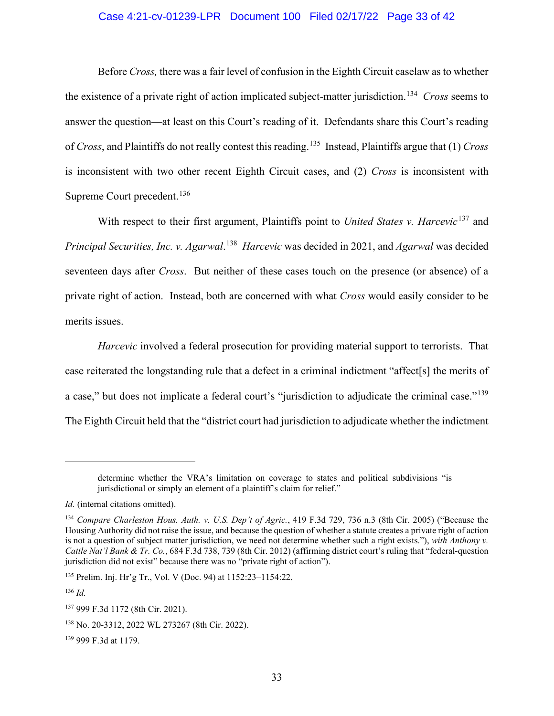# Case 4:21-cv-01239-LPR Document 100 Filed 02/17/22 Page 33 of 42

Before *Cross,* there was a fair level of confusion in the Eighth Circuit caselaw as to whether the existence of a private right of action implicated subject-matter jurisdiction. [134](#page-32-0) *Cross* seems to answer the question—at least on this Court's reading of it. Defendants share this Court's reading of *Cross*, and Plaintiffs do not really contest this reading.[135](#page-32-1) Instead, Plaintiffs argue that (1) *Cross*  is inconsistent with two other recent Eighth Circuit cases, and (2) *Cross* is inconsistent with Supreme Court precedent.<sup>[136](#page-32-2)</sup>

With respect to their first argument, Plaintiffs point to *United States v. Harcevic*<sup>[137](#page-32-3)</sup> and *Principal Securities, Inc. v. Agarwal*. [138](#page-32-4) *Harcevic* was decided in 2021, and *Agarwal* was decided seventeen days after *Cross*. But neither of these cases touch on the presence (or absence) of a private right of action. Instead, both are concerned with what *Cross* would easily consider to be merits issues.

*Harcevic* involved a federal prosecution for providing material support to terrorists. That case reiterated the longstanding rule that a defect in a criminal indictment "affect[s] the merits of a case," but does not implicate a federal court's "jurisdiction to adjudicate the criminal case."<sup>[139](#page-32-5)</sup> The Eighth Circuit held that the "district court had jurisdiction to adjudicate whether the indictment

<span id="page-32-2"></span><sup>136</sup> *Id.*

determine whether the VRA's limitation on coverage to states and political subdivisions "is jurisdictional or simply an element of a plaintiff's claim for relief."

*Id.* (internal citations omitted).

<span id="page-32-0"></span><sup>134</sup> *Compare Charleston Hous. Auth. v. U.S. Dep't of Agric.*, 419 F.3d 729, 736 n.3 (8th Cir. 2005) ("Because the Housing Authority did not raise the issue, and because the question of whether a statute creates a private right of action is not a question of subject matter jurisdiction, we need not determine whether such a right exists."), *with Anthony v. Cattle Nat'l Bank & Tr. Co.*, 684 F.3d 738, 739 (8th Cir. 2012) (affirming district court's ruling that "federal-question jurisdiction did not exist" because there was no "private right of action").

<span id="page-32-1"></span><sup>135</sup> Prelim. Inj. Hr'g Tr., Vol. V (Doc. 94) at 1152:23–1154:22.

<span id="page-32-3"></span><sup>137</sup> 999 F.3d 1172 (8th Cir. 2021).

<span id="page-32-4"></span><sup>138</sup> No. 20-3312, 2022 WL 273267 (8th Cir. 2022).

<span id="page-32-5"></span><sup>139</sup> 999 F.3d at 1179.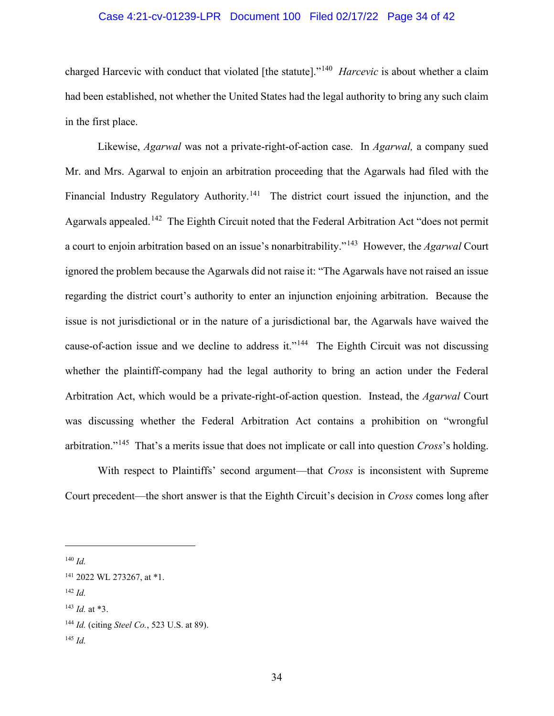## Case 4:21-cv-01239-LPR Document 100 Filed 02/17/22 Page 34 of 42

charged Harcevic with conduct that violated [the statute]."[140](#page-33-0) *Harcevic* is about whether a claim had been established, not whether the United States had the legal authority to bring any such claim in the first place.

Likewise, *Agarwal* was not a private-right-of-action case. In *Agarwal,* a company sued Mr. and Mrs. Agarwal to enjoin an arbitration proceeding that the Agarwals had filed with the Financial Industry Regulatory Authority.<sup>[141](#page-33-1)</sup> The district court issued the injunction, and the Agarwals appealed.[142](#page-33-2) The Eighth Circuit noted that the Federal Arbitration Act "does not permit a court to enjoin arbitration based on an issue's nonarbitrability."[143](#page-33-3) However, the *Agarwal* Court ignored the problem because the Agarwals did not raise it: "The Agarwals have not raised an issue regarding the district court's authority to enter an injunction enjoining arbitration. Because the issue is not jurisdictional or in the nature of a jurisdictional bar, the Agarwals have waived the cause-of-action issue and we decline to address it."<sup>144</sup> The Eighth Circuit was not discussing whether the plaintiff-company had the legal authority to bring an action under the Federal Arbitration Act, which would be a private-right-of-action question. Instead, the *Agarwal* Court was discussing whether the Federal Arbitration Act contains a prohibition on "wrongful arbitration."[145](#page-33-5) That's a merits issue that does not implicate or call into question *Cross*'s holding.

With respect to Plaintiffs' second argument—that *Cross* is inconsistent with Supreme Court precedent—the short answer is that the Eighth Circuit's decision in *Cross* comes long after

<span id="page-33-0"></span><sup>140</sup> *Id.*

<span id="page-33-2"></span><sup>142</sup> *Id.*

<span id="page-33-1"></span><sup>141</sup> 2022 WL 273267, at \*1.

<span id="page-33-3"></span><sup>143</sup> *Id.* at \*3.

<span id="page-33-4"></span><sup>144</sup> *Id.* (citing *Steel Co.*, 523 U.S. at 89).

<span id="page-33-5"></span><sup>145</sup> *Id.*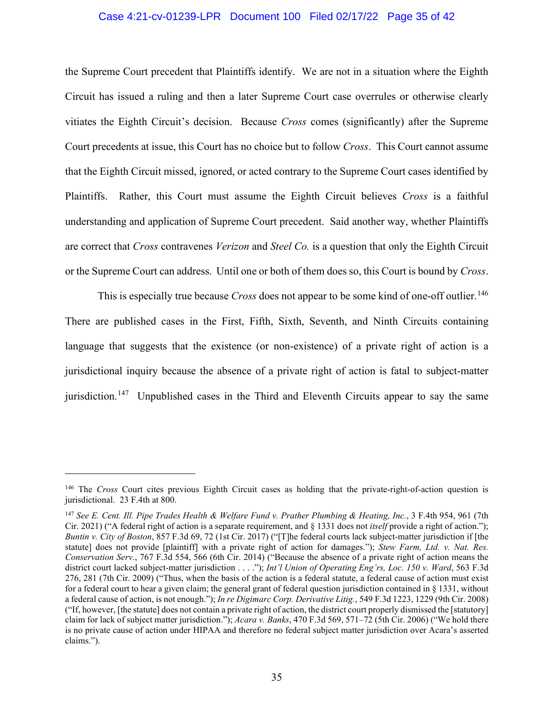### Case 4:21-cv-01239-LPR Document 100 Filed 02/17/22 Page 35 of 42

the Supreme Court precedent that Plaintiffs identify. We are not in a situation where the Eighth Circuit has issued a ruling and then a later Supreme Court case overrules or otherwise clearly vitiates the Eighth Circuit's decision. Because *Cross* comes (significantly) after the Supreme Court precedents at issue, this Court has no choice but to follow *Cross*. This Court cannot assume that the Eighth Circuit missed, ignored, or acted contrary to the Supreme Court cases identified by Plaintiffs. Rather, this Court must assume the Eighth Circuit believes *Cross* is a faithful understanding and application of Supreme Court precedent. Said another way, whether Plaintiffs are correct that *Cross* contravenes *Verizon* and *Steel Co.* is a question that only the Eighth Circuit or the Supreme Court can address. Until one or both of them does so, this Court is bound by *Cross*.

This is especially true because *Cross* does not appear to be some kind of one-off outlier. [146](#page-34-0) There are published cases in the First, Fifth, Sixth, Seventh, and Ninth Circuits containing language that suggests that the existence (or non-existence) of a private right of action is a jurisdictional inquiry because the absence of a private right of action is fatal to subject-matter jurisdiction.<sup>[147](#page-34-1)</sup> Unpublished cases in the Third and Eleventh Circuits appear to say the same

<span id="page-34-0"></span><sup>146</sup> The *Cross* Court cites previous Eighth Circuit cases as holding that the private-right-of-action question is jurisdictional. 23 F.4th at 800.

<span id="page-34-1"></span><sup>147</sup> *See E. Cent. Ill. Pipe Trades Health & Welfare Fund v. Prather Plumbing & Heating, Inc.*, 3 F.4th 954, 961 (7th Cir. 2021) ("A federal right of action is a separate requirement, and § 1331 does not *itself* provide a right of action."); *Buntin v. City of Boston*, 857 F.3d 69, 72 (1st Cir. 2017) ("[T]he federal courts lack subject-matter jurisdiction if [the statute] does not provide [plaintiff] with a private right of action for damages."); *Stew Farm, Ltd. v. Nat. Res. Conservation Serv.*, 767 F.3d 554, 566 (6th Cir. 2014) ("Because the absence of a private right of action means the district court lacked subject-matter jurisdiction . . . ."); *Int'l Union of Operating Eng'rs, Loc. 150 v. Ward*, 563 F.3d 276, 281 (7th Cir. 2009) ("Thus, when the basis of the action is a federal statute, a federal cause of action must exist for a federal court to hear a given claim; the general grant of federal question jurisdiction contained in § 1331, without a federal cause of action, is not enough."); *In re Digimarc Corp. Derivative Litig.*, 549 F.3d 1223, 1229 (9th Cir. 2008) ("If, however, [the statute] does not contain a private right of action, the district court properly dismissed the [statutory] claim for lack of subject matter jurisdiction."); *Acara v. Banks*, 470 F.3d 569, 571–72 (5th Cir. 2006) ("We hold there is no private cause of action under HIPAA and therefore no federal subject matter jurisdiction over Acara's asserted claims.").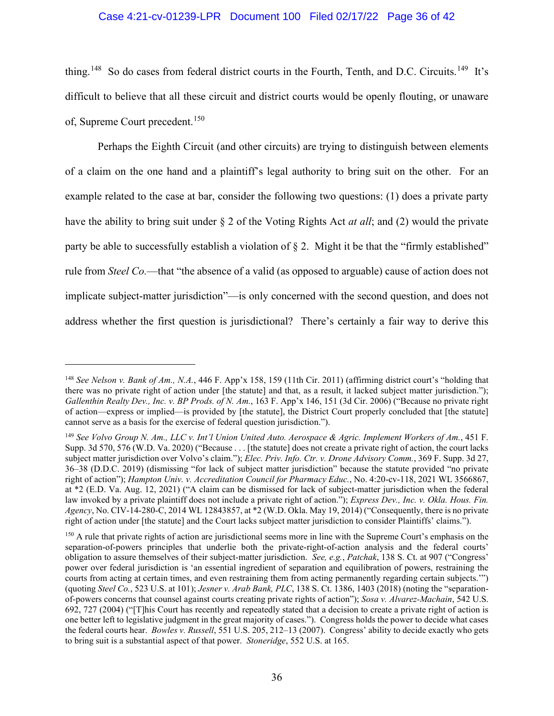# Case 4:21-cv-01239-LPR Document 100 Filed 02/17/22 Page 36 of 42

thing.<sup>[148](#page-35-0)</sup> So do cases from federal district courts in the Fourth, Tenth, and D.C. Circuits.<sup>149</sup> It's difficult to believe that all these circuit and district courts would be openly flouting, or unaware of, Supreme Court precedent.<sup>[150](#page-35-2)</sup>

Perhaps the Eighth Circuit (and other circuits) are trying to distinguish between elements of a claim on the one hand and a plaintiff's legal authority to bring suit on the other. For an example related to the case at bar, consider the following two questions: (1) does a private party have the ability to bring suit under § 2 of the Voting Rights Act *at all*; and (2) would the private party be able to successfully establish a violation of § 2. Might it be that the "firmly established" rule from *Steel Co.*—that "the absence of a valid (as opposed to arguable) cause of action does not implicate subject-matter jurisdiction"—is only concerned with the second question, and does not address whether the first question is jurisdictional? There's certainly a fair way to derive this

<span id="page-35-0"></span><sup>148</sup> *See Nelson v. Bank of Am., N.A.*, 446 F. App'x 158, 159 (11th Cir. 2011) (affirming district court's "holding that there was no private right of action under [the statute] and that, as a result, it lacked subject matter jurisdiction."); *Gallenthin Realty Dev., Inc. v. BP Prods. of N. Am.*, 163 F. App'x 146, 151 (3d Cir. 2006) ("Because no private right of action—express or implied—is provided by [the statute], the District Court properly concluded that [the statute] cannot serve as a basis for the exercise of federal question jurisdiction.").

<span id="page-35-1"></span><sup>149</sup> *See Volvo Group N. Am., LLC v. Int'l Union United Auto. Aerospace & Agric. Implement Workers of Am.*, 451 F. Supp. 3d 570, 576 (W.D. Va. 2020) ("Because . . . [the statute] does not create a private right of action, the court lacks subject matter jurisdiction over Volvo's claim."); *Elec. Priv. Info. Ctr. v. Drone Advisory Comm.*, 369 F. Supp. 3d 27, 36–38 (D.D.C. 2019) (dismissing "for lack of subject matter jurisdiction" because the statute provided "no private right of action"); *Hampton Univ. v. Accreditation Council for Pharmacy Educ.*, No. 4:20-cv-118, 2021 WL 3566867, at \*2 (E.D. Va. Aug. 12, 2021) ("A claim can be dismissed for lack of subject-matter jurisdiction when the federal law invoked by a private plaintiff does not include a private right of action."); *Express Dev., Inc. v. Okla. Hous. Fin. Agency*, No. CIV-14-280-C, 2014 WL 12843857, at \*2 (W.D. Okla. May 19, 2014) ("Consequently, there is no private right of action under [the statute] and the Court lacks subject matter jurisdiction to consider Plaintiffs' claims.").

<span id="page-35-2"></span><sup>&</sup>lt;sup>150</sup> A rule that private rights of action are jurisdictional seems more in line with the Supreme Court's emphasis on the separation-of-powers principles that underlie both the private-right-of-action analysis and the federal courts' obligation to assure themselves of their subject-matter jurisdiction. *See, e.g.*, *Patchak*, 138 S. Ct. at 907 ("Congress' power over federal jurisdiction is 'an essential ingredient of separation and equilibration of powers, restraining the courts from acting at certain times, and even restraining them from acting permanently regarding certain subjects.'") (quoting *Steel Co.*, 523 U.S. at 101); *Jesner v. Arab Bank, PLC*, 138 S. Ct. 1386, 1403 (2018) (noting the "separationof-powers concerns that counsel against courts creating private rights of action"); *Sosa v. Alvarez-Machain*, 542 U.S. 692, 727 (2004) ("[T]his Court has recently and repeatedly stated that a decision to create a private right of action is one better left to legislative judgment in the great majority of cases."). Congress holds the power to decide what cases the federal courts hear. *Bowles v. Russell*, 551 U.S. 205, 212–13 (2007). Congress' ability to decide exactly who gets to bring suit is a substantial aspect of that power. *Stoneridge*, 552 U.S. at 165.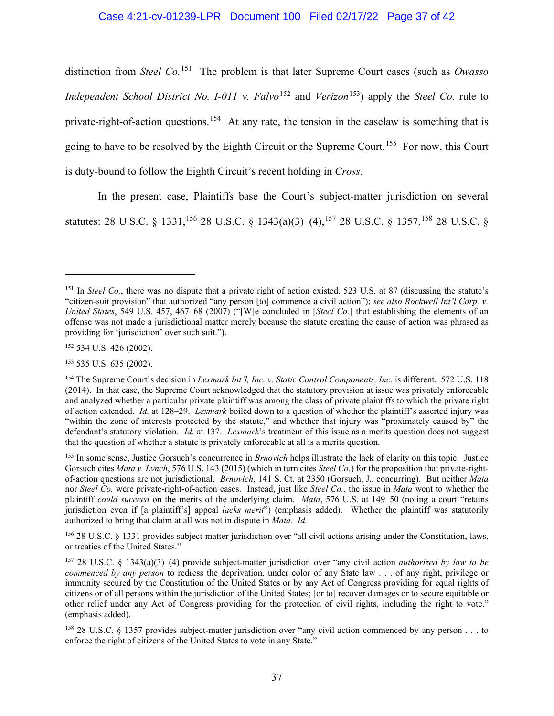# Case 4:21-cv-01239-LPR Document 100 Filed 02/17/22 Page 37 of 42

distinction from *Steel Co.* [151](#page-36-0) The problem is that later Supreme Court cases (such as *Owasso Independent School District No. I-011 v. Falvo*<sup>[152](#page-36-1)</sup> and *Verizon*<sup>[153](#page-36-2)</sup>) apply the *Steel Co.* rule to private-right-of-action questions.<sup>[154](#page-36-3)</sup> At any rate, the tension in the caselaw is something that is going to have to be resolved by the Eighth Circuit or the Supreme Court.<sup>[155](#page-36-4)</sup> For now, this Court is duty-bound to follow the Eighth Circuit's recent holding in *Cross*.

In the present case, Plaintiffs base the Court's subject-matter jurisdiction on several statutes: 28 U.S.C. § 1331,<sup>[156](#page-36-5)</sup> 28 U.S.C. § 1343(a)(3)–(4),<sup>[157](#page-36-6)</sup> 28 U.S.C. § 1357,<sup>[158](#page-36-7)</sup> 28 U.S.C. §

<span id="page-36-1"></span><sup>152</sup> 534 U.S. 426 (2002).

<span id="page-36-2"></span><sup>153</sup> 535 U.S. 635 (2002).

<span id="page-36-5"></span><sup>156</sup> 28 U.S.C. § 1331 provides subject-matter jurisdiction over "all civil actions arising under the Constitution, laws, or treaties of the United States."

<span id="page-36-0"></span><sup>&</sup>lt;sup>151</sup> In *Steel Co.*, there was no dispute that a private right of action existed. 523 U.S. at 87 (discussing the statute's "citizen-suit provision" that authorized "any person [to] commence a civil action"); *see also Rockwell Int'l Corp. v. United States*, 549 U.S. 457, 467–68 (2007) ("[W]e concluded in [*Steel Co.*] that establishing the elements of an offense was not made a jurisdictional matter merely because the statute creating the cause of action was phrased as providing for 'jurisdiction' over such suit.").

<span id="page-36-3"></span><sup>154</sup> The Supreme Court's decision in *Lexmark Int'l, Inc. v. Static Control Components, Inc.* is different. 572 U.S. 118 (2014). In that case, the Supreme Court acknowledged that the statutory provision at issue was privately enforceable and analyzed whether a particular private plaintiff was among the class of private plaintiffs to which the private right of action extended. *Id.* at 128–29. *Lexmark* boiled down to a question of whether the plaintiff's asserted injury was "within the zone of interests protected by the statute," and whether that injury was "proximately caused by" the defendant's statutory violation. *Id.* at 137. *Lexmark*'s treatment of this issue as a merits question does not suggest that the question of whether a statute is privately enforceable at all is a merits question.

<span id="page-36-4"></span><sup>155</sup> In some sense, Justice Gorsuch's concurrence in *Brnovich* helps illustrate the lack of clarity on this topic. Justice Gorsuch cites *Mata v. Lynch*, 576 U.S. 143 (2015) (which in turn cites *Steel Co.*) for the proposition that private-rightof-action questions are not jurisdictional. *Brnovich*, 141 S. Ct. at 2350 (Gorsuch, J., concurring). But neither *Mata* nor *Steel Co.* were private-right-of-action cases. Instead, just like *Steel Co.*, the issue in *Mata* went to whether the plaintiff *could succeed* on the merits of the underlying claim. *Mata*, 576 U.S. at 149–50 (noting a court "retains jurisdiction even if [a plaintiff's] appeal *lacks merit*") (emphasis added). Whether the plaintiff was statutorily authorized to bring that claim at all was not in dispute in *Mata*. *Id.*

<span id="page-36-6"></span><sup>157</sup> 28 U.S.C. § 1343(a)(3)–(4) provide subject-matter jurisdiction over "any civil action *authorized by law to be commenced by any person* to redress the deprivation, under color of any State law . . . of any right, privilege or immunity secured by the Constitution of the United States or by any Act of Congress providing for equal rights of citizens or of all persons within the jurisdiction of the United States; [or to] recover damages or to secure equitable or other relief under any Act of Congress providing for the protection of civil rights, including the right to vote." (emphasis added).

<span id="page-36-7"></span><sup>158</sup> 28 U.S.C. § 1357 provides subject-matter jurisdiction over "any civil action commenced by any person . . . to enforce the right of citizens of the United States to vote in any State."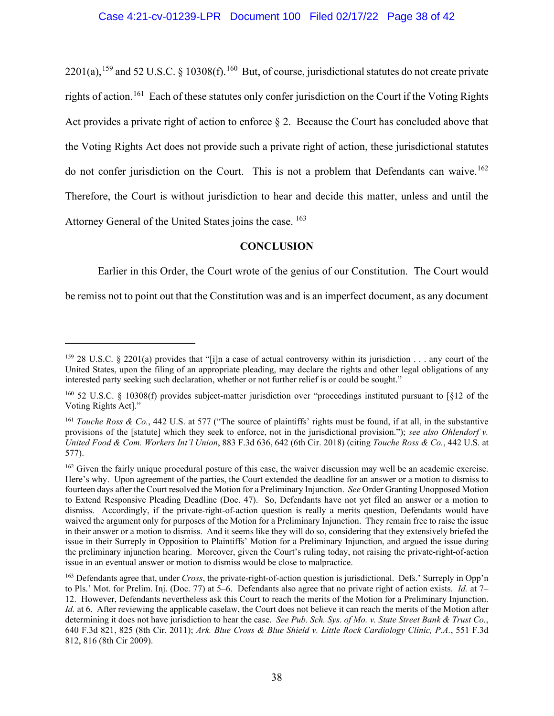$2201(a)$ ,<sup>[159](#page-37-0)</sup> and 52 U.S.C. § 10308(f).<sup>160</sup> But, of course, jurisdictional statutes do not create private rights of action.<sup>161</sup> Each of these statutes only confer jurisdiction on the Court if the Voting Rights Act provides a private right of action to enforce  $\S 2$ . Because the Court has concluded above that the Voting Rights Act does not provide such a private right of action, these jurisdictional statutes do not confer jurisdiction on the Court. This is not a problem that Defendants can waive.<sup>[162](#page-37-3)</sup> Therefore, the Court is without jurisdiction to hear and decide this matter, unless and until the Attorney General of the United States joins the case. [163](#page-37-4)

# **CONCLUSION**

Earlier in this Order, the Court wrote of the genius of our Constitution. The Court would

be remiss not to point out that the Constitution was and is an imperfect document, as any document

<span id="page-37-0"></span><sup>&</sup>lt;sup>159</sup> 28 U.S.C. § 2201(a) provides that "[i]n a case of actual controversy within its jurisdiction . . . any court of the United States, upon the filing of an appropriate pleading, may declare the rights and other legal obligations of any interested party seeking such declaration, whether or not further relief is or could be sought."

<span id="page-37-1"></span><sup>160</sup> 52 U.S.C. § 10308(f) provides subject-matter jurisdiction over "proceedings instituted pursuant to [§12 of the Voting Rights Act]."

<span id="page-37-2"></span><sup>161</sup> *Touche Ross & Co.*, 442 U.S. at 577 ("The source of plaintiffs' rights must be found, if at all, in the substantive provisions of the [statute] which they seek to enforce, not in the jurisdictional provision."); *see also Ohlendorf v. United Food & Com. Workers Int'l Union*, 883 F.3d 636, 642 (6th Cir. 2018) (citing *Touche Ross & Co.*, 442 U.S. at 577).

<span id="page-37-3"></span><sup>&</sup>lt;sup>162</sup> Given the fairly unique procedural posture of this case, the waiver discussion may well be an academic exercise. Here's why. Upon agreement of the parties, the Court extended the deadline for an answer or a motion to dismiss to fourteen days after the Court resolved the Motion for a Preliminary Injunction. *See* Order Granting Unopposed Motion to Extend Responsive Pleading Deadline (Doc. 47). So, Defendants have not yet filed an answer or a motion to dismiss. Accordingly, if the private-right-of-action question is really a merits question, Defendants would have waived the argument only for purposes of the Motion for a Preliminary Injunction. They remain free to raise the issue in their answer or a motion to dismiss. And it seems like they will do so, considering that they extensively briefed the issue in their Surreply in Opposition to Plaintiffs' Motion for a Preliminary Injunction, and argued the issue during the preliminary injunction hearing. Moreover, given the Court's ruling today, not raising the private-right-of-action issue in an eventual answer or motion to dismiss would be close to malpractice.

<span id="page-37-4"></span><sup>163</sup> Defendants agree that, under *Cross*, the private-right-of-action question is jurisdictional. Defs.' Surreply in Opp'n to Pls.' Mot. for Prelim. Inj. (Doc. 77) at 5–6. Defendants also agree that no private right of action exists. *Id.* at 7– 12. However, Defendants nevertheless ask this Court to reach the merits of the Motion for a Preliminary Injunction. *Id.* at 6. After reviewing the applicable caselaw, the Court does not believe it can reach the merits of the Motion after determining it does not have jurisdiction to hear the case. *See Pub. Sch. Sys. of Mo. v. State Street Bank & Trust Co.*, 640 F.3d 821, 825 (8th Cir. 2011); *Ark. Blue Cross & Blue Shield v. Little Rock Cardiology Clinic, P.A.*, 551 F.3d 812, 816 (8th Cir 2009).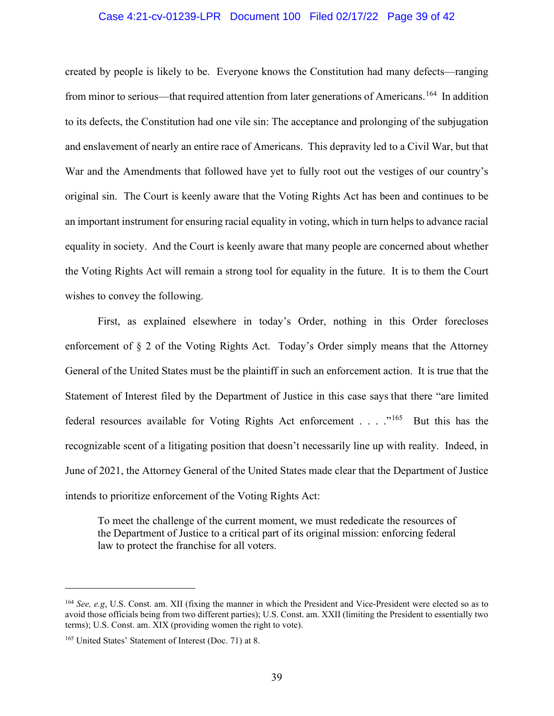#### Case 4:21-cv-01239-LPR Document 100 Filed 02/17/22 Page 39 of 42

created by people is likely to be. Everyone knows the Constitution had many defects—ranging from minor to serious—that required attention from later generations of Americans.<sup>[164](#page-38-0)</sup> In addition to its defects, the Constitution had one vile sin: The acceptance and prolonging of the subjugation and enslavement of nearly an entire race of Americans. This depravity led to a Civil War, but that War and the Amendments that followed have yet to fully root out the vestiges of our country's original sin. The Court is keenly aware that the Voting Rights Act has been and continues to be an important instrument for ensuring racial equality in voting, which in turn helps to advance racial equality in society. And the Court is keenly aware that many people are concerned about whether the Voting Rights Act will remain a strong tool for equality in the future. It is to them the Court wishes to convey the following.

First, as explained elsewhere in today's Order, nothing in this Order forecloses enforcement of § 2 of the Voting Rights Act. Today's Order simply means that the Attorney General of the United States must be the plaintiff in such an enforcement action. It is true that the Statement of Interest filed by the Department of Justice in this case says that there "are limited federal resources available for Voting Rights Act enforcement . . . ."[165](#page-38-1) But this has the recognizable scent of a litigating position that doesn't necessarily line up with reality. Indeed, in June of 2021, the Attorney General of the United States made clear that the Department of Justice intends to prioritize enforcement of the Voting Rights Act:

To meet the challenge of the current moment, we must rededicate the resources of the Department of Justice to a critical part of its original mission: enforcing federal law to protect the franchise for all voters.

<span id="page-38-0"></span><sup>164</sup> *See, e.g*, U.S. Const. am. XII (fixing the manner in which the President and Vice-President were elected so as to avoid those officials being from two different parties); U.S. Const. am. XXII (limiting the President to essentially two terms); U.S. Const. am. XIX (providing women the right to vote).

<span id="page-38-1"></span><sup>165</sup> United States' Statement of Interest (Doc. 71) at 8.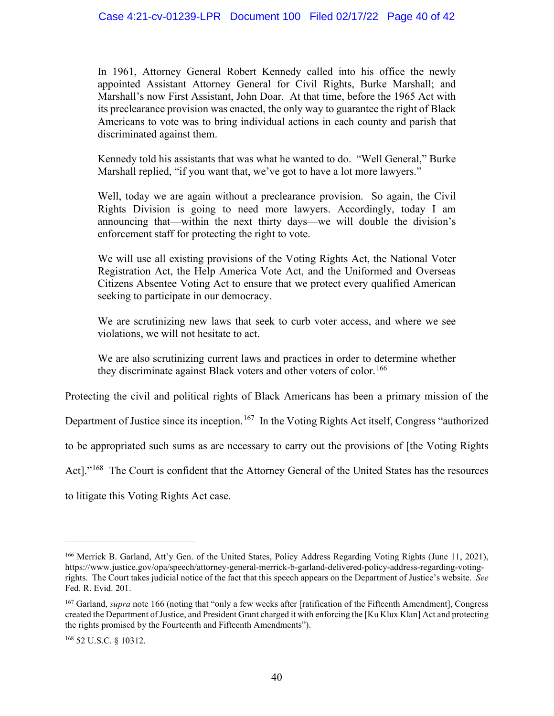In 1961, Attorney General Robert Kennedy called into his office the newly appointed Assistant Attorney General for Civil Rights, Burke Marshall; and Marshall's now First Assistant, John Doar. At that time, before the 1965 Act with its preclearance provision was enacted, the only way to guarantee the right of Black Americans to vote was to bring individual actions in each county and parish that discriminated against them.

Kennedy told his assistants that was what he wanted to do. "Well General," Burke Marshall replied, "if you want that, we've got to have a lot more lawyers."

Well, today we are again without a preclearance provision. So again, the Civil Rights Division is going to need more lawyers. Accordingly, today I am announcing that—within the next thirty days—we will double the division's enforcement staff for protecting the right to vote.

We will use all existing provisions of the Voting Rights Act, the National Voter Registration Act, the Help America Vote Act, and the Uniformed and Overseas Citizens Absentee Voting Act to ensure that we protect every qualified American seeking to participate in our democracy.

We are scrutinizing new laws that seek to curb voter access, and where we see violations, we will not hesitate to act.

We are also scrutinizing current laws and practices in order to determine whether they discriminate against Black voters and other voters of color.<sup>[166](#page-39-0)</sup>

Protecting the civil and political rights of Black Americans has been a primary mission of the

Department of Justice since its inception.<sup>[167](#page-39-1)</sup> In the Voting Rights Act itself, Congress "authorized

to be appropriated such sums as are necessary to carry out the provisions of [the Voting Rights

Act]."[168](#page-39-2) The Court is confident that the Attorney General of the United States has the resources

to litigate this Voting Rights Act case.

<span id="page-39-0"></span><sup>&</sup>lt;sup>166</sup> Merrick B. Garland, Att'y Gen. of the United States, Policy Address Regarding Voting Rights (June 11, 2021), https://www.justice.gov/opa/speech/attorney-general-merrick-b-garland-delivered-policy-address-regarding-votingrights. The Court takes judicial notice of the fact that this speech appears on the Department of Justice's website. *See*  Fed. R. Evid. 201.

<span id="page-39-1"></span><sup>167</sup> Garland, *supra* note 166 (noting that "only a few weeks after [ratification of the Fifteenth Amendment], Congress created the Department of Justice, and President Grant charged it with enforcing the [Ku Klux Klan] Act and protecting the rights promised by the Fourteenth and Fifteenth Amendments").

<span id="page-39-2"></span><sup>168</sup> 52 U.S.C. § 10312.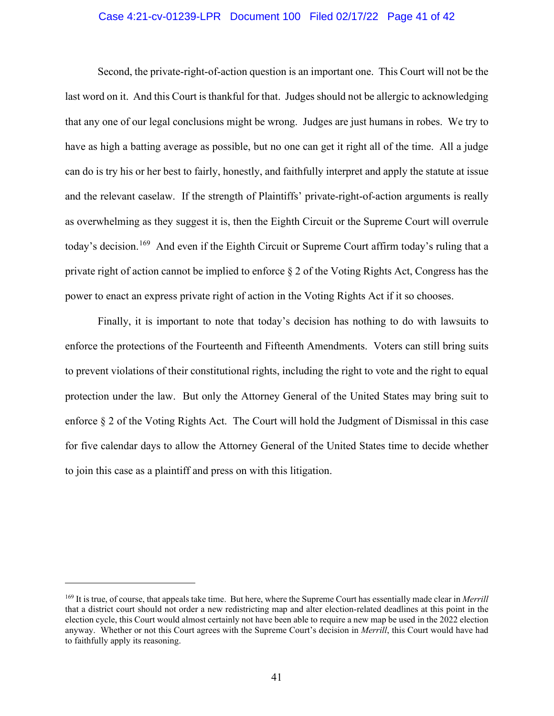## Case 4:21-cv-01239-LPR Document 100 Filed 02/17/22 Page 41 of 42

Second, the private-right-of-action question is an important one. This Court will not be the last word on it. And this Court is thankful for that. Judges should not be allergic to acknowledging that any one of our legal conclusions might be wrong. Judges are just humans in robes. We try to have as high a batting average as possible, but no one can get it right all of the time. All a judge can do is try his or her best to fairly, honestly, and faithfully interpret and apply the statute at issue and the relevant caselaw. If the strength of Plaintiffs' private-right-of-action arguments is really as overwhelming as they suggest it is, then the Eighth Circuit or the Supreme Court will overrule today's decision.<sup>[169](#page-40-0)</sup> And even if the Eighth Circuit or Supreme Court affirm today's ruling that a private right of action cannot be implied to enforce § 2 of the Voting Rights Act, Congress has the power to enact an express private right of action in the Voting Rights Act if it so chooses.

Finally, it is important to note that today's decision has nothing to do with lawsuits to enforce the protections of the Fourteenth and Fifteenth Amendments. Voters can still bring suits to prevent violations of their constitutional rights, including the right to vote and the right to equal protection under the law. But only the Attorney General of the United States may bring suit to enforce § 2 of the Voting Rights Act. The Court will hold the Judgment of Dismissal in this case for five calendar days to allow the Attorney General of the United States time to decide whether to join this case as a plaintiff and press on with this litigation.

<span id="page-40-0"></span><sup>169</sup> It is true, of course, that appeals take time. But here, where the Supreme Court has essentially made clear in *Merrill* that a district court should not order a new redistricting map and alter election-related deadlines at this point in the election cycle, this Court would almost certainly not have been able to require a new map be used in the 2022 election anyway. Whether or not this Court agrees with the Supreme Court's decision in *Merrill*, this Court would have had to faithfully apply its reasoning.